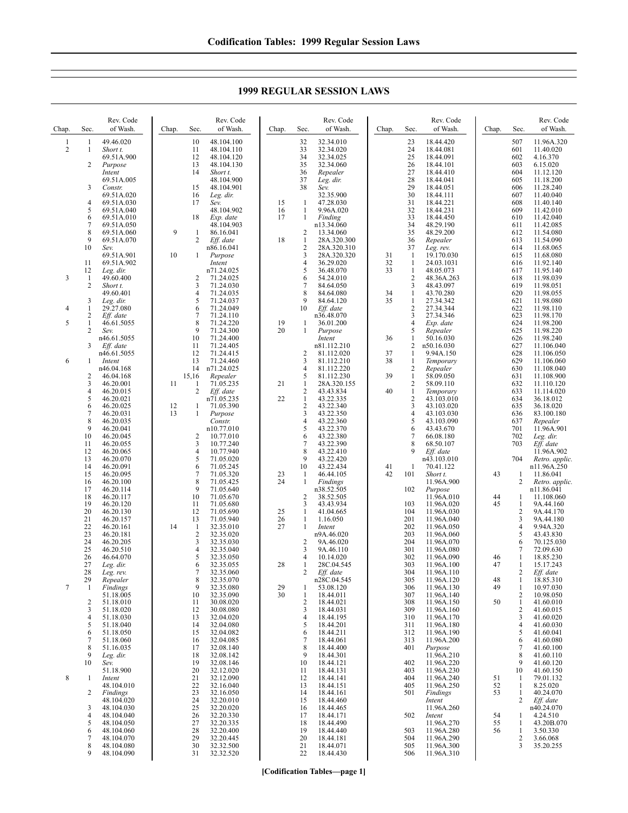|                       | 1999 REGULAR SESSION LAWS |      |                       |       |      |                       |       |      |                       |       |  |
|-----------------------|---------------------------|------|-----------------------|-------|------|-----------------------|-------|------|-----------------------|-------|--|
| Rev. Code<br>of Wash. | Chap.                     | Sec. | Rev. Code<br>of Wash. | Chap. | Sec. | Rev. Code<br>of Wash. | Chap. | Sec. | Rev. Code<br>of Wash. | Chap. |  |
| 9.46.020              |                           | 10   | 48.104.100            |       | 32   | 32.34.010             |       | 23   | 18.44.420             |       |  |
| hort t.               |                           | 11   | 48.104.110            |       | 33   | 32.34.020             |       | 24   | 18.44.081             |       |  |
| 9.51A.900             |                           | 12   | 48.104.120            |       | 34   | 32.34.025             |       | 25   | 18.44.091             |       |  |
| soarne                |                           | 13   | 48 104 130            |       | 35   | 32.34.060             |       | 26   | 18 44 101             |       |  |

Rev. Code

**1999 REGULAR SESSION LAWS**

| Chap.          | Sec.                | of Wash.                 | Chap.    | Sec.                | of Wash.                | Chap.    | Sec.                         | of Wash.                  | Chap. | Sec.              | of Wash.                 | Chap.    | Sec.                | of Wash.                     |
|----------------|---------------------|--------------------------|----------|---------------------|-------------------------|----------|------------------------------|---------------------------|-------|-------------------|--------------------------|----------|---------------------|------------------------------|
| $\mathbf{1}$   | $\mathbf{1}$        | 49.46.020                |          | 10                  | 48.104.100              |          | 32                           | 32.34.010                 |       | 23                | 18.44.420                |          | 507                 | 11.96A.320                   |
| $\overline{2}$ | 1                   | Short t.                 |          | 11                  | 48.104.110              |          | 33                           | 32.34.020                 |       | 24                | 18.44.081                |          | 601                 | 11.40.020                    |
|                |                     | 69.51A.900               |          | 12                  | 48.104.120              |          | 34                           | 32.34.025                 |       | 25                | 18.44.091                |          | 602                 | 4.16.370                     |
|                | 2                   | Purpose                  |          | 13                  | 48.104.130              |          | 35                           | 32.34.060                 |       | 26                | 18.44.101                |          | 603                 | 6.15.020                     |
|                |                     | Intent                   |          | 14                  | Short t.                |          | 36                           | Repealer                  |       | 27                | 18.44.410                |          | 604                 | 11.12.120                    |
|                |                     | 69.51A.005               |          |                     | 48.104.900              |          | 37                           | Leg. dir.                 |       | 28                | 18.44.041                |          | 605                 | 11.18.200                    |
|                | 3                   | Constr.                  |          | 15                  | 48.104.901              |          | 38                           | Sev.                      |       | 29                | 18.44.051                |          | 606                 | 11.28.240                    |
|                |                     | 69.51A.020               |          | 16                  | Leg. dir.               |          |                              | 32.35.900                 |       | 30                | 18.44.111                |          | 607                 | 11.40.040                    |
|                | $\overline{4}$<br>5 | 69.51A.030<br>69.51A.040 |          | 17                  | Sev.<br>48.104.902      | 15<br>16 | $\mathbf{1}$<br>$\mathbf{1}$ | 47.28.030<br>9.96A.020    |       | 31<br>32          | 18.44.221<br>18.44.231   |          | 608<br>609          | 11.40.140<br>11.42.010       |
|                | 6                   | 69.51A.010               |          | 18                  | Exp. date               | 17       | 1                            | Finding                   |       | 33                | 18.44.450                |          | 610                 | 11.42.040                    |
|                | 7                   | 69.51A.050               |          |                     | 48.104.903              |          |                              | n13.34.060                |       | 34                | 48.29.190                |          | 611                 | 11.42.085                    |
|                | 8                   | 69.51A.060               | 9        | $\mathbf{1}$        | 86.16.041               |          | $\overline{\mathbf{c}}$      | 13.34.060                 |       | 35                | 48.29.200                |          | 612                 | 11.54.080                    |
|                | 9                   | 69.51A.070               |          | 2                   | Eff. date               | 18       | $\mathbf{1}$                 | 28A.320.300               |       | 36                | Repealer                 |          | 613                 | 11.54.090                    |
|                | 10                  | Sev.                     |          |                     | n86.16.041              |          | $\overline{c}$               | 28A.320.310               |       | 37                | Leg. rev.                |          | 614                 | 11.68.065                    |
|                |                     | 69.51A.901               | 10       | 1                   | Purpose                 |          | 3                            | 28A.320.320               | 31    | -1                | 19.170.030               |          | 615                 | 11.68.080                    |
|                | 11                  | 69.51A.902               |          |                     | Intent                  |          | $\overline{4}$               | 36.29.020                 | 32    | $\mathbf{1}$      | 24.03.1031               |          | 616                 | 11.92.140                    |
| 3              | 12<br>1             | Leg. dir.<br>49.60.400   |          | $\overline{c}$      | n71.24.025<br>71.24.025 |          | 5<br>6                       | 36.48.070<br>54.24.010    | 33    | $\mathbf{1}$<br>2 | 48.05.073<br>48.36A.263  |          | 617<br>618          | 11.95.140<br>11.98.039       |
|                | 2                   | Short t.                 |          | 3                   | 71.24.030               |          | $\tau$                       | 84.64.050                 |       | 3                 | 48.43.097                |          | 619                 | 11.98.051                    |
|                |                     | 49.60.401                |          | 4                   | 71.24.035               |          | 8                            | 84.64.080                 | 34    | 1                 | 43.70.280                |          | 620                 | 11.98.055                    |
|                | 3                   | Leg. dir.                |          | 5                   | 71.24.037               |          | 9                            | 84.64.120                 | 35    | 1                 | 27.34.342                |          | 621                 | 11.98.080                    |
| 4              | 1                   | 29.27.080                |          | 6                   | 71.24.049               |          | 10                           | Eff. date                 |       | $\overline{c}$    | 27.34.344                |          | 622                 | 11.98.110                    |
|                | 2                   | Eff. date                |          | $\overline{7}$      | 71.24.110               |          |                              | n36.48.070                |       | 3                 | 27.34.346                |          | 623                 | 11.98.170                    |
| 5              | 1                   | 46.61.5055               |          | 8                   | 71.24.220               | 19       | 1                            | 36.01.200                 |       | $\overline{4}$    | Exp. date                |          | 624                 | 11.98.200                    |
|                | $\overline{c}$      | Sev.                     |          | 9                   | 71.24.300               | 20       | 1                            | Purpose                   |       | 5                 | Repealer                 |          | 625                 | 11.98.220                    |
|                | 3                   | n46.61.5055              |          | 10<br>11            | 71.24.400<br>71.24.405  |          |                              | Intent                    | 36    | 1<br>2            | 50.16.030                |          | 626<br>627          | 11.98.240<br>11.106.040      |
|                |                     | Eff. date<br>n46.61.5055 |          | 12                  | 71.24.415               |          | 2                            | n81.112.210<br>81.112.020 | 37    | 1                 | n50.16.030<br>9.94A.150  |          | 628                 | 11.106.050                   |
| 6              | 1                   | Intent                   |          | 13                  | 71.24.460               |          | 3                            | 81.112.210                | 38    | 1                 | Temporary                |          | 629                 | 11.106.060                   |
|                |                     | n46.04.168               |          | 14                  | n71.24.025              |          | $\overline{4}$               | 81.112.220                |       | $\overline{2}$    | Repealer                 |          | 630                 | 11.108.040                   |
|                | 2                   | 46.04.168                |          | 15,16               | Repealer                |          | 5                            | 81.112.230                | 39    | 1                 | 58.09.050                |          | 631                 | 11.108.900                   |
|                | 3                   | 46.20.001                | 11       | -1                  | 71.05.235               | 21       | $\mathbf{1}$                 | 28A.320.155               |       | $\mathbf{2}$      | 58.09.110                |          | 632                 | 11.110.120                   |
|                | 4                   | 46.20.015                |          | $\overline{c}$      | Eff. date               |          | $\sqrt{2}$                   | 43.43.834                 | 40    | $\mathbf{1}$      | Temporary                |          | 633                 | 11.114.020                   |
|                | 5                   | 46.20.021                |          |                     | n71.05.235              | 22       | $\mathbf{1}$                 | 43.22.335                 |       | $\overline{2}$    | 43.103.010               |          | 634                 | 36.18.012                    |
|                | 6<br>7              | 46.20.025<br>46.20.031   | 12<br>13 | -1<br>1             | 71.05.390<br>Purpose    |          | $\sqrt{2}$<br>3              | 43.22.340<br>43.22.350    |       | 3<br>4            | 43.103.020<br>43.103.030 |          | 635<br>636          | 36.18.020<br>83.100.180      |
|                | 8                   | 46.20.035                |          |                     | Constr.                 |          | $\overline{4}$               | 43.22.360                 |       | 5                 | 43.103.090               |          | 637                 | Repealer                     |
|                | 9                   | 46.20.041                |          |                     | n10.77.010              |          | 5                            | 43.22.370                 |       | 6                 | 43.43.670                |          | 701                 | 11.96A.901                   |
|                | 10                  | 46.20.045                |          | 2                   | 10.77.010               |          | 6                            | 43.22.380                 |       | $\tau$            | 66.08.180                |          | 702                 | Leg. dir.                    |
|                | 11                  | 46.20.055                |          | 3                   | 10.77.240               |          | $\tau$                       | 43.22.390                 |       | 8                 | 68.50.107                |          | 703                 | Eff. date                    |
|                | 12                  | 46.20.065                |          | 4                   | 10.77.940               |          | 8                            | 43.22.410                 |       | 9                 | Eff. date                |          |                     | 11.96A.902                   |
|                | 13                  | 46.20.070                |          | 5                   | 71.05.020               |          | 9                            | 43.22.420                 |       |                   | n43.103.010              |          | 704                 | Retro. applic.               |
|                | 14                  | 46.20.091                |          | 6                   | 71.05.245               |          | 10                           | 43.22.434                 | 41    | 1                 | 70.41.122                |          |                     | n11.96A.250                  |
|                | 15                  | 46.20.095<br>46.20.100   |          | $\overline{7}$<br>8 | 71.05.320<br>71.05.425  | 23<br>24 | 1<br>1                       | 46.44.105<br>Findings     | 42    | 101               | Short t.                 | 43       | 1<br>$\overline{c}$ | 11.86.041                    |
|                | 16<br>17            | 46.20.114                |          | 9                   | 71.05.640               |          |                              | n38.52.505                |       | 102               | 11.96A.900<br>Purpose    |          |                     | Retro. applic.<br>n11.86.041 |
|                | 18                  | 46.20.117                |          | 10                  | 71.05.670               |          | $\overline{c}$               | 38.52.505                 |       |                   | 11.96A.010               | 44       | 1                   | 11.108.060                   |
|                | 19                  | 46.20.120                |          | 11                  | 71.05.680               |          | 3                            | 43.43.934                 |       | 103               | 11.96A.020               | 45       | $\mathbf{1}$        | 9A.44.160                    |
|                | 20                  | 46.20.130                |          | 12                  | 71.05.690               | 25       | 1                            | 41.04.665                 |       | 104               | 11.96A.030               |          | 2                   | 9A.44.170                    |
|                | 21                  | 46.20.157                |          | 13                  | 71.05.940               | 26       | $\mathbf{1}$                 | 1.16.050                  |       | 201               | 11.96A.040               |          | 3                   | 9A.44.180                    |
|                | 22                  | 46.20.161                | 14       | -1                  | 32.35.010               | 27       | 1                            | Intent                    |       | 202               | 11.96A.050               |          | 4                   | 9.94A.320                    |
|                | 23<br>24            | 46.20.181<br>46.20.205   |          | $\sqrt{2}$<br>3     | 32.35.020<br>32.35.030  |          | 2                            | n9A.46.020<br>9A.46.020   |       | 203<br>204        | 11.96A.060<br>11.96A.070 |          | 5<br>6              | 43.43.830<br>70.125.030      |
|                | 25                  | 46.20.510                |          | 4                   | 32.35.040               |          | 3                            | 9A.46.110                 |       | 301               | 11.96A.080               |          | 7                   | 72.09.630                    |
|                | 26                  | 46.64.070                |          | 5                   | 32.35.050               |          | $\overline{4}$               | 10.14.020                 |       | 302               | 11.96A.090               | 46       | $\mathbf{1}$        | 18.85.230                    |
|                | 27                  | Leg. dir.                |          | 6                   | 32.35.055               | 28       | 1                            | 28C.04.545                |       | 303               | 11.96A.100               | 47       | 1                   | 15.17.243                    |
|                | 28                  | Leg. rev.                |          | 7                   | 32.35.060               |          | $\overline{2}$               | Eff. date                 |       | 304               | 11.96A.110               |          | 2                   | Eff. date                    |
|                | 29                  | Repealer                 |          | 8                   | 32.35.070               |          |                              | n28C.04.545               |       | 305               | 11.96A.120               | 48       | 1                   | 18.85.310                    |
|                |                     | Findings                 |          | 9                   | 32.35.080               | 29<br>30 | -1                           | 53.08.120                 |       | 306               | 11.96A.130               | 49       | $\perp$             | 10.97.030<br>10.98.050       |
|                | 2                   | 51.18.005<br>51.18.010   |          | 10<br>11            | 32.35.090<br>30.08.020  |          | 1<br>$\overline{2}$          | 18.44.011<br>18.44.021    |       | 307<br>308        | 11.96A.140<br>11.96A.150 | 50       | 2<br>$\mathbf{1}$   | 41.60.010                    |
|                | 3                   | 51.18.020                |          | 12                  | 30.08.080               |          | 3                            | 18.44.031                 |       | 309               | 11.96A.160               |          | 2                   | 41.60.015                    |
|                | 4                   | 51.18.030                |          | 13                  | 32.04.020               |          | $\overline{4}$               | 18.44.195                 |       | 310               | 11.96A.170               |          | 3                   | 41.60.020                    |
|                | 5                   | 51.18.040                |          | 14                  | 32.04.080               |          | 5                            | 18.44.201                 |       | 311               | 11.96A.180               |          | 4                   | 41.60.030                    |
|                | 6                   | 51.18.050                |          | 15                  | 32.04.082               |          | 6                            | 18.44.211                 |       | 312               | 11.96A.190               |          | 5                   | 41.60.041                    |
|                | 7                   | 51.18.060                |          | 16                  | 32.04.085               |          | 7                            | 18.44.061                 |       | 313               | 11.96A.200               |          | 6                   | 41.60.080                    |
|                | 8<br>9              | 51.16.035                |          | 17                  | 32.08.140               |          | 8<br>9                       | 18.44.400                 |       | 401               | Purpose                  |          | 7                   | 41.60.100                    |
|                | 10                  | Leg. dir.<br>Sev.        |          | 18<br>19            | 32.08.142<br>32.08.146  |          | 10                           | 18.44.301<br>18.44.121    |       | 402               | 11.96A.210<br>11.96A.220 |          | 8<br>9              | 41.60.110<br>41.60.120       |
|                |                     | 51.18.900                |          | 20                  | 32.12.020               |          | 11                           | 18.44.131                 |       | 403               | 11.96A.230               |          | 10                  | 41.60.150                    |
| $\,8\,$        | 1                   | Intent                   |          | 21                  | 32.12.090               |          | 12                           | 18.44.141                 |       | 404               | 11.96A.240               | 51       | 1                   | 79.01.132                    |
|                |                     | 48.104.010               |          | 22                  | 32.16.040               |          | 13                           | 18.44.151                 |       | 405               | 11.96A.250               | 52       | 1                   | 8.25.020                     |
|                | 2                   | Findings                 |          | 23                  | 32.16.050               |          | 14                           | 18.44.161                 |       | 501               | Findings                 | 53       | 1                   | 40.24.070                    |
|                |                     | 48.104.020               |          | 24                  | 32.20.010               |          | 15                           | 18.44.460                 |       |                   | Intent                   |          | 2                   | Eff. date                    |
|                | 3                   | 48.104.030               |          | 25                  | 32.20.020               |          | 16                           | 18.44.465                 |       | 502               | 11.96A.260               |          |                     | n40.24.070<br>4.24.510       |
|                | 4<br>5              | 48.104.040<br>48.104.050 |          | 26<br>27            | 32.20.330<br>32.20.335  |          | 17<br>18                     | 18.44.171<br>18.44.490    |       |                   | Intent<br>11.96A.270     | 54<br>55 | 1<br>1              | 43.20B.070                   |
|                | 6                   | 48.104.060               |          | 28                  | 32.20.400               |          | 19                           | 18.44.440                 |       | 503               | 11.96A.280               | 56       | 1                   | 3.50.330                     |
|                | 7                   | 48.104.070               |          | 29                  | 32.20.445               |          | 20                           | 18.44.181                 |       | 504               | 11.96A.290               |          | $\overline{c}$      | 3.66.068                     |
|                | 8                   | 48.104.080               |          | 30                  | 32.32.500               |          | 21                           | 18.44.071                 |       | 505               | 11.96A.300               |          | 3                   | 35.20.255                    |
|                | 9                   | 48.104.090               |          | 31                  | 32.32.520               |          | 22                           | 18.44.430                 |       | 506               | 11.96A.310               |          |                     |                              |
|                |                     |                          |          |                     |                         |          |                              |                           |       |                   |                          |          |                     |                              |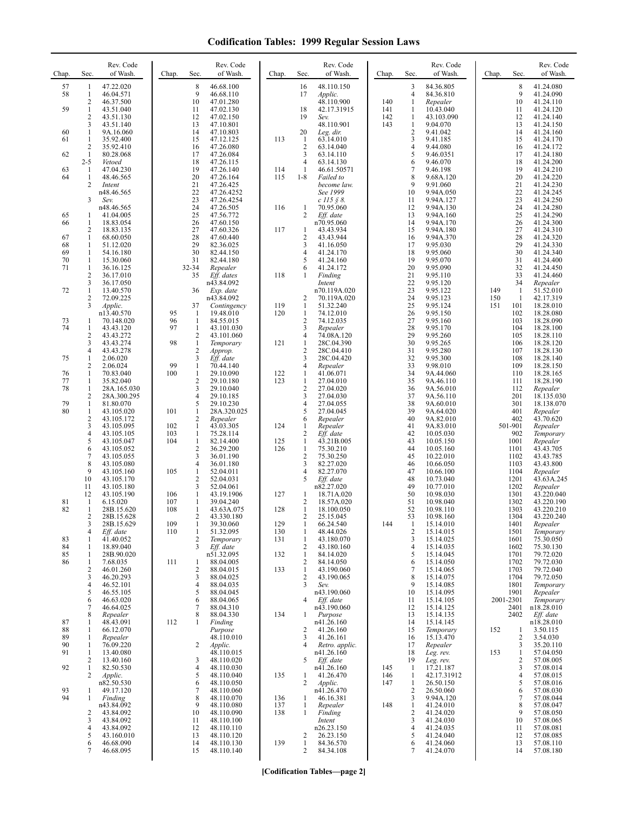| Chap.                | Sec.                                                     | Rev. Code<br>of Wash.                                                       | Chap.             | Sec.                                                     | Rev. Code<br>of Wash.                                                            | Chap.                    | Sec.                                                                | Rev. Code<br>of Wash.                                                  | Chap.             | Sec.                                        | Rev. Code<br>of Wash.                                                      | Chap.      | Sec.                                 | Rev. Code<br>of Wash.                                                      |
|----------------------|----------------------------------------------------------|-----------------------------------------------------------------------------|-------------------|----------------------------------------------------------|----------------------------------------------------------------------------------|--------------------------|---------------------------------------------------------------------|------------------------------------------------------------------------|-------------------|---------------------------------------------|----------------------------------------------------------------------------|------------|--------------------------------------|----------------------------------------------------------------------------|
| 57<br>58<br>59       | 1<br>$\mathbf{1}$<br>2<br>1<br>$\overline{c}$            | 47.22.020<br>46.04.571<br>46.37.500<br>43.51.040<br>43.51.130               |                   | 8<br>9<br>10<br>11<br>12                                 | 46.68.100<br>46.68.110<br>47.01.280<br>47.02.130<br>47.02.150                    |                          | 16<br>17<br>18<br>19                                                | 48.110.150<br>Applic.<br>48.110.900<br>42.17.31915<br>Sev.             | 140<br>141<br>142 | 3<br>4<br>1<br>-1<br>1                      | 84.36.805<br>84.36.810<br>Repealer<br>10.43.040<br>43.103.090              |            | 8<br>9<br>10<br>11<br>12             | 41.24.080<br>41.24.090<br>41.24.110<br>41.24.120<br>41.24.140              |
| 60<br>61<br>62       | 3<br>1<br>1<br>$\overline{\mathbf{c}}$<br>1              | 43.51.140<br>9A.16.060<br>35.92.400<br>35.92.410<br>80.28.068               |                   | 13<br>14<br>15<br>16<br>17                               | 47.10.801<br>47.10.803<br>47.12.125<br>47.26.080<br>47.26.084                    | 113                      | 20<br>$\mathbf{1}$<br>$\overline{2}$<br>3                           | 48.110.901<br>Leg. dir.<br>63.14.010<br>63.14.040<br>63.14.110         | 143               | 1<br>$\overline{\mathbf{c}}$<br>3<br>4<br>5 | 9.04.070<br>9.41.042<br>9.41.185<br>9.44.080<br>9.46.0351                  |            | 13<br>14<br>15<br>16<br>17           | 41.24.150<br>41.24.160<br>41.24.170<br>41.24.172<br>41.24.180              |
| 63<br>64             | $2 - 5$<br>-1<br>1<br>2                                  | Vetoed<br>47.04.230<br>48.46.565<br>Intent<br>n48.46.565                    |                   | 18<br>19<br>20<br>21<br>22                               | 47.26.115<br>47.26.140<br>47.26.164<br>47.26.425<br>47.26.4252                   | 114<br>115               | 4<br>-1<br>$1 - 8$                                                  | 63.14.130<br>46.61.50571<br>Failed to<br>become law.<br>See 1999       |                   | 6<br>$\overline{7}$<br>8<br>9<br>10         | 9.46.070<br>9.46.198<br>9.68A.120<br>9.91.060<br>9.94A.050                 |            | 18<br>19<br>20<br>21<br>22           | 41.24.200<br>41.24.210<br>41.24.220<br>41.24.230<br>41.24.245              |
| 65<br>66             | 3<br>1<br>1                                              | Sev.<br>n48.46.565<br>41.04.005<br>18.83.054                                |                   | 23<br>24<br>25<br>26                                     | 47.26.4254<br>47.26.505<br>47.56.772<br>47.60.150                                | 116                      | 1<br>2                                                              | $c$ 115 § 8.<br>70.95.060<br>Eff. date<br>n70.95.060                   |                   | 11<br>12<br>13<br>14                        | 9.94A.127<br>9.94A.130<br>9.94A.160<br>9.94A.170                           |            | 23<br>24<br>25<br>26                 | 41.24.250<br>41.24.280<br>41.24.290<br>41.24.300                           |
| 67<br>68<br>69<br>70 | 2<br>1<br>1<br>1<br>1                                    | 18.83.135<br>68.60.050<br>51.12.020<br>54.16.180<br>15.30.060               |                   | 27<br>28<br>29<br>30<br>31                               | 47.60.326<br>47.60.440<br>82.36.025<br>82.44.150<br>82.44.180                    | 117                      | $\mathbf{1}$<br>2<br>3<br>4<br>5                                    | 43.43.934<br>43.43.944<br>41.16.050<br>41.24.170<br>41.24.160          |                   | 15<br>16<br>17<br>18<br>19                  | 9.94A.180<br>9.94A.370<br>9.95.030<br>9.95.060<br>9.95.070                 |            | 27<br>28<br>29<br>30<br>31           | 41.24.310<br>41.24.320<br>41.24.330<br>41.24.340<br>41.24.400              |
| 71<br>72             | 1<br>$\overline{c}$<br>3<br>1<br>$\overline{\mathbf{c}}$ | 36.16.125<br>36.17.010<br>36.17.050<br>13.40.570<br>72.09.225               |                   | 32-34<br>35<br>36                                        | Repealer<br>Eff. dates<br>n43.84.092<br>Exp. date<br>n43.84.092                  | 118                      | 6<br>1<br>2                                                         | 41.24.172<br>Finding<br>Intent<br>n70.119A.020<br>70.119A.020          |                   | 20<br>21<br>22<br>23<br>24                  | 9.95.090<br>9.95.110<br>9.95.120<br>9.95.122<br>9.95.123                   | 149<br>150 | 32<br>33<br>34<br>$\mathbf{1}$<br>1  | 41.24.450<br>41.24.460<br>Repealer<br>51.52.010<br>42.17.319               |
| 73<br>74             | 3<br>1<br>1<br>2                                         | Applic.<br>n13.40.570<br>70.148.020<br>43.43.120<br>43.43.272               | 95<br>96<br>97    | 37<br>-1<br>-1<br>$\mathbf{1}$<br>$\overline{c}$         | Contingency<br>19.48.010<br>84.55.015<br>43.101.030<br>43.101.060                | 119<br>120               | -1<br>$\mathbf{1}$<br>$\overline{2}$<br>3<br>4                      | 51.32.240<br>74.12.010<br>74.12.035<br>Repealer<br>74.08A.120          |                   | 25<br>26<br>27<br>28<br>29                  | 9.95.124<br>9.95.150<br>9.95.160<br>9.95.170<br>9.95.260                   | 151        | 101<br>102<br>103<br>104<br>105      | 18.28.010<br>18.28.080<br>18.28.090<br>18.28.100<br>18.28.110              |
| 75<br>76             | 3<br>4<br>1<br>$\overline{c}$<br>1                       | 43.43.274<br>43.43.278<br>2.06.020<br>2.06.024<br>70.83.040                 | 98<br>99<br>100   | $\mathbf{1}$<br>$\overline{2}$<br>3<br>$\mathbf{1}$<br>1 | Temporary<br>Approp.<br>Eff. date<br>70.44.140<br>29.10.090                      | 121<br>122               | $\mathbf{1}$<br>$\overline{c}$<br>3<br>4<br>1                       | 28C.04.390<br>28C.04.410<br>28C.04.420<br>Repealer<br>41.06.071        |                   | 30<br>31<br>32<br>33<br>34                  | 9.95.265<br>9.95.280<br>9.95.300<br>9.98.010<br>9A.44.060                  |            | 106<br>107<br>108<br>109<br>110      | 18.28.120<br>18.28.130<br>18.28.140<br>18.28.150<br>18.28.165              |
| 77<br>78<br>79<br>80 | 1<br>1<br>$\overline{c}$<br>1<br>1                       | 35.82.040<br>28A.165.030<br>28A.300.295<br>81.80.070<br>43.105.020          | 101               | $\sqrt{2}$<br>3<br>$\overline{4}$<br>5<br>$\mathbf{1}$   | 29.10.180<br>29.10.040<br>29.10.185<br>29.10.230<br>28A.320.025                  | 123                      | $\mathbf{1}$<br>$\overline{\mathbf{c}}$<br>3<br>4<br>5              | 27.04.010<br>27.04.020<br>27.04.030<br>27.04.055<br>27.04.045          |                   | 35<br>36<br>37<br>38<br>39                  | 9A.46.110<br>9A.56.010<br>9A.56.110<br>9A.60.010<br>9A.64.020              |            | 111<br>112<br>201<br>301<br>401      | 18.28.190<br>Repealer<br>18.135.030<br>18.138.070                          |
|                      | $\overline{\mathbf{c}}$<br>3<br>4<br>5                   | 43.105.172<br>43.105.095<br>43.105.105<br>43.105.047                        | 102<br>103<br>104 | $\overline{2}$<br>$\mathbf{1}$<br>$\mathbf{1}$<br>1      | Repealer<br>43.03.305<br>75.28.114<br>82.14.400                                  | 124<br>125               | 6<br>1<br>$\overline{2}$<br>$\mathbf{1}$                            | Repealer<br>Repealer<br>Eff. date<br>43.21B.005                        |                   | 40<br>41<br>42<br>43                        | 9A.82.010<br>9A.83.010<br>10.05.030<br>10.05.150                           |            | 402<br>501-901<br>902<br>1001        | Repealer<br>43.70.620<br>Repealer<br>Temporary<br>Repealer                 |
|                      | 6<br>7<br>8<br>9<br>10                                   | 43.105.052<br>43.105.055<br>43.105.080<br>43.105.160<br>43.105.170          | 105               | $\sqrt{2}$<br>3<br>$\overline{4}$<br>1<br>$\overline{2}$ | 36.29.200<br>36.01.190<br>36.01.180<br>52.04.011<br>52.04.031                    | 126                      | $\mathbf{1}$<br>$\sqrt{2}$<br>3<br>4<br>5                           | 75.30.210<br>75.30.250<br>82.27.020<br>82.27.070<br>Eff. date          |                   | 44<br>45<br>46<br>47<br>48                  | 10.05.160<br>10.22.010<br>10.66.050<br>10.66.100<br>10.73.040              |            | 1101<br>1102<br>1103<br>1104<br>1201 | 43.43.705<br>43.43.785<br>43.43.800<br>Repealer<br>43.63A.245              |
| 81<br>82             | 11<br>12<br>1<br>1<br>2                                  | 43.105.180<br>43.105.190<br>6.15.020<br>28B.15.620<br>28B.15.628            | 106<br>107<br>108 | 3<br>$\mathbf{1}$<br>$\mathbf{1}$<br>1<br>2              | 52.04.061<br>43.19.1906<br>39.04.240<br>43.63A.075<br>43.330.180                 | 127<br>128               | $\mathbf{1}$<br>$\overline{2}$<br>1<br>2                            | n82.27.020<br>18.71A.020<br>18.57A.020<br>18.100.050<br>25.15.045      |                   | 49<br>50<br>51<br>52<br>53                  | 10.77.010<br>10.98.030<br>10.98.040<br>10.98.110<br>10.98.160              |            | 1202<br>1301<br>1302<br>1303<br>1304 | Repealer<br>43.220.040<br>43.220.190<br>43.220.210<br>43.220.240           |
| 83<br>84<br>85       | 3<br>4<br>1<br>1<br>1                                    | 28B.15.629<br>Eff. date<br>41.40.052<br>18.89.040<br>28B.90.020             | 109<br>110        | 1<br>$\mathbf{1}$<br>$\overline{2}$<br>3                 | 39.30.060<br>51.32.095<br>Temporary<br>Eff. date<br>n51.32.095                   | 129<br>130<br>131<br>132 | $\mathbf{1}$<br>1<br>$\mathbf{1}$<br>$\overline{2}$<br>$\mathbf{1}$ | 66.24.540<br>48.44.026<br>43.180.070<br>43.180.160<br>84.14.020        | 144               | $\mathbf{1}$<br>2<br>3<br>4<br>5            | 15.14.010<br>15.14.015<br>15.14.025<br>15.14.035<br>15.14.045              |            | 1401<br>1501<br>1601<br>1602<br>1701 | Repealer<br>Temporary<br>75.30.050<br>75.30.130<br>79.72.020               |
| 86                   | 1<br>$\overline{c}$<br>3<br>4<br>5                       | 7.68.035<br>46.01.260<br>46.20.293<br>46.52.101<br>46.55.105                | 111               | 1<br>$\overline{2}$<br>3<br>$\overline{4}$<br>5          | 88.04.005<br>88.04.015<br>88.04.025<br>88.04.035<br>88.04.045                    | 133                      | 2<br>$\mathbf{1}$<br>2<br>3                                         | 84.14.050<br>43.190.060<br>43.190.065<br>Sev.<br>n43.190.060           |                   | 6<br>7<br>8<br>9<br>10                      | 15.14.050<br>15.14.065<br>15.14.075<br>15.14.085<br>15.14.095              |            | 1702<br>1703<br>1704<br>1801<br>1901 | 79.72.030<br>79.72.040<br>79.72.050<br>Temporary<br>Repealer               |
| 87<br>88             | 6<br>7<br>8<br>1<br>1                                    | 46.63.020<br>46.64.025<br>Repealer<br>48.43.091<br>66.12.070                | 112               | 6<br>7<br>8<br>-1                                        | 88.04.065<br>88.04.310<br>88.04.330<br>Finding<br>Purpose                        | 134                      | 4<br>1<br>2                                                         | Eff. date<br>n43.190.060<br>Purpose<br>n41.26.160<br>41.26.160         |                   | 11<br>12<br>13<br>14<br>15                  | 15.14.105<br>15.14.125<br>15.14.135<br>15.14.145<br>Temporary              | 152        | 2001-2301<br>2401<br>2402<br>1       | Temporary<br>n18.28.010<br>Eff. date<br>n18.28.010<br>3.50.115             |
| 89<br>90<br>91<br>92 | 1<br>1<br>1<br>2<br>1                                    | Repealer<br>76.09.220<br>13.40.080<br>13.40.160<br>82.50.530                |                   | 2<br>3<br>$\overline{4}$                                 | 48.110.010<br>Applic.<br>48.110.015<br>48.110.020<br>48.110.030                  |                          | 3<br>4<br>5                                                         | 41.26.161<br>Retro. applic.<br>n41.26.160<br>Eff. date<br>n41.26.160   | 145               | 16<br>17<br>18<br>19<br>$\mathbf{1}$        | 15.13.470<br>Repealer<br>Leg. rev.<br>Leg. rev.<br>17.21.187               | 153        | 2<br>3<br>$\mathbf{1}$<br>2<br>3     | 3.54.030<br>35.20.110<br>57.04.050<br>57.08.005<br>57.08.014               |
| 93<br>94             | 2<br>1<br>1                                              | Applic.<br>n82.50.530<br>49.17.120<br>Finding<br>n43.84.092                 |                   | 5<br>6<br>7<br>8<br>9                                    | 48.110.040<br>48.110.050<br>48.110.060<br>48.110.070<br>48.110.080               | 135<br>136<br>137        | 1<br>2<br>$\mathbf{1}$<br>$\mathbf{1}$                              | 41.26.470<br>Applic.<br>n41.26.470<br>46.16.381<br>Repealer            | 146<br>147<br>148 | 1<br>$\mathbf{1}$<br>2<br>3<br>1            | 42.17.31912<br>26.50.150<br>26.50.060<br>9.94A.120<br>41.24.010            |            | 4<br>5<br>6<br>7<br>8                | 57.08.015<br>57.08.016<br>57.08.030<br>57.08.044<br>57.08.047              |
|                      | $\overline{c}$<br>3<br>4<br>5<br>6<br>7                  | 43.84.092<br>43.84.092<br>43.84.092<br>43.160.010<br>46.68.090<br>46.68.095 |                   | 10<br>11<br>12<br>13<br>14<br>15                         | 48.110.090<br>48.110.100<br>48.110.110<br>48.110.120<br>48.110.130<br>48.110.140 | 138<br>139               | $\mathbf{1}$<br>2<br>1<br>2                                         | Finding<br>Intent<br>n26.23.150<br>26.23.150<br>84.36.570<br>84.34.108 |                   | 2<br>3<br>4<br>5<br>6<br>7                  | 41.24.020<br>41.24.030<br>41.24.035<br>41.24.040<br>41.24.060<br>41.24.070 |            | 9<br>10<br>11<br>12<br>13<br>14      | 57.08.050<br>57.08.065<br>57.08.081<br>57.08.085<br>57.08.110<br>57.08.180 |

**[Codification Tables—page 2]**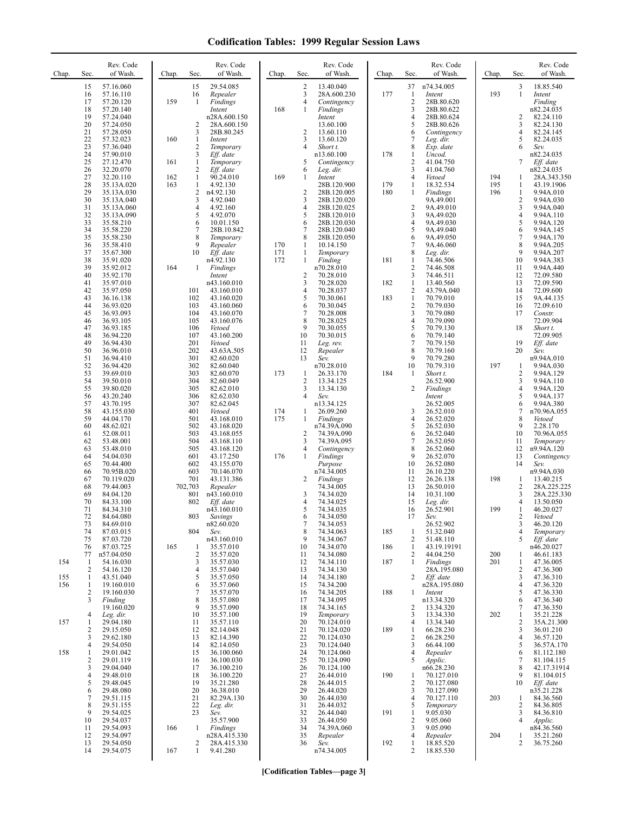| Chap.      | Sec.                                 | Rev. Code<br>of Wash.                             | Chap.      | Sec.                                           | Rev. Code<br>of Wash.                            | Chap.             | Sec.                              | Rev. Code<br>of Wash.                            | Chap.      | Sec.                                                      | Rev. Code<br>of Wash.                             | Chap.             | Sec.                                                  | Rev. Code<br>of Wash.                            |
|------------|--------------------------------------|---------------------------------------------------|------------|------------------------------------------------|--------------------------------------------------|-------------------|-----------------------------------|--------------------------------------------------|------------|-----------------------------------------------------------|---------------------------------------------------|-------------------|-------------------------------------------------------|--------------------------------------------------|
|            | 15<br>16<br>17                       | 57.16.060<br>57.16.110<br>57.20.120               | 159        | 15<br>16<br>$\mathbf{1}$                       | 29.54.085<br>Repealer<br>Findings                |                   | 2<br>3<br>4                       | 13.40.040<br>28A.600.230<br>Contingency          | 177        | 37<br>$\mathbf{1}$<br>$\overline{c}$                      | n74.34.005<br>Intent<br>28B.80.620                | 193               | 3<br>$\mathbf{1}$                                     | 18.85.540<br>Intent<br>Finding                   |
|            | 18<br>19<br>20                       | 57.20.140<br>57.24.040<br>57.24.050               |            | 2                                              | Intent<br>n28A.600.150<br>28A.600.150            | 168               | 1                                 | <b>Findings</b><br>Intent<br>13.60.100           |            | 3<br>$\overline{4}$<br>5                                  | 28B.80.622<br>28B.80.624<br>28B.80.626            |                   | 2<br>3                                                | n82.24.035<br>82.24.110<br>82.24.130             |
|            | 21<br>22<br>23                       | 57.28.050<br>57.32.023<br>57.36.040               | 160        | 3<br>$\mathbf{1}$<br>2                         | 28B.80.245<br>Intent<br>Temporary                |                   | 2<br>3<br>4                       | 13.60.110<br>13.60.120<br>Short t.               |            | 6<br>7<br>8                                               | Contingency<br>Leg. dir.<br>Exp. date             |                   | $\overline{4}$<br>5<br>6                              | 82.24.145<br>82.24.035<br>Sev.                   |
|            | 24<br>25<br>26                       | 57.90.010<br>27.12.470<br>32.20.070               | 161        | 3<br>$\mathbf{1}$<br>2                         | Eff. date<br>Temporary<br>Eff. date              |                   | 5<br>6                            | n13.60.100<br>Contingency<br>Leg. dir.           | 178        | $\mathbf{1}$<br>$\overline{c}$<br>3                       | Uncod.<br>41.04.750<br>41.04.760                  |                   | 7                                                     | n82.24.035<br>Eff. date<br>n82.24.035            |
|            | 27<br>28<br>29                       | 32.20.110<br>35.13A.020<br>35.13A.030             | 162<br>163 | $\mathbf{1}$<br>$\mathbf{1}$<br>$\overline{c}$ | 90.24.010<br>4.92.130<br>n4.92.130               | 169               | 1<br>$\sqrt{2}$                   | Intent<br>28B.120.900<br>28B.120.005             | 179<br>180 | 4<br>$\mathbf{1}$<br>1                                    | Vetoed<br>18.32.534<br>Findings                   | 194<br>195<br>196 | 1<br>1<br>$\mathbf{1}$                                | 28A.343.350<br>43.19.1906<br>9.94A.010           |
|            | 30<br>31<br>32                       | 35.13A.040<br>35.13A.060<br>35.13A.090            |            | 3<br>4<br>5                                    | 4.92.040<br>4.92.160<br>4.92.070                 |                   | 3<br>4<br>5                       | 28B.120.020<br>28B.120.025<br>28B.120.010        |            | $\overline{2}$<br>3                                       | 9A.49.001<br>9A.49.010<br>9A.49.020               |                   | $\overline{c}$<br>3<br>$\overline{4}$                 | 9.94A.030<br>9.94A.040<br>9.94A.110              |
|            | 33<br>34<br>35                       | 35.58.210<br>35.58.220<br>35.58.230               |            | 6<br>$\overline{7}$<br>8                       | 10.01.150<br>28B.10.842<br>Temporary             |                   | 6<br>7<br>8                       | 28B.120.030<br>28B.120.040<br>28B.120.050        |            | $\overline{4}$<br>5<br>6                                  | 9A.49.030<br>9A.49.040<br>9A.49.050               |                   | 5<br>6<br>7                                           | 9.94A.120<br>9.94A.145<br>9.94A.170              |
|            | 36<br>37<br>38                       | 35.58.410<br>35.67.300<br>35.91.020               |            | 9<br>10                                        | Repealer<br>Eff. date<br>n4.92.130               | 170<br>171<br>172 | 1<br>$\mathbf{1}$<br>$\mathbf{1}$ | 10.14.150<br>Temporary<br>Finding                | 181        | 7<br>8<br>1                                               | 9A.46.060<br>Leg. dir.<br>74.46.506               |                   | 8<br>9<br>10                                          | 9.94A.205<br>9.94A.207<br>9.94A.383              |
|            | 39<br>40<br>41                       | 35.92.012<br>35.92.170<br>35.97.010               | 164        | $\mathbf{1}$                                   | Findings<br>Intent<br>n43.160.010                |                   | $\overline{c}$<br>3               | n70.28.010<br>70.28.010<br>70.28.020             | 182        | $\overline{2}$<br>3<br>$\mathbf{1}$                       | 74.46.508<br>74.46.511<br>13.40.560               |                   | 11<br>12<br>13                                        | 9.94A.440<br>72.09.580<br>72.09.590              |
|            | 42<br>43<br>44                       | 35.97.050<br>36.16.138<br>36.93.020               |            | 101<br>102<br>103                              | 43.160.010<br>43.160.020<br>43.160.060           |                   | 4<br>5<br>6                       | 70.28.037<br>70.30.061<br>70.30.045              | 183        | $\overline{\mathbf{c}}$<br>$\mathbf{1}$<br>$\overline{2}$ | 43.79A.040<br>70.79.010<br>70.79.030              |                   | 14<br>15<br>16                                        | 72.09.600<br>9A.44.135<br>72.09.610              |
|            | 45<br>46<br>47                       | 36.93.093<br>36.93.105<br>36.93.185               |            | 104<br>105<br>106                              | 43.160.070<br>43.160.076<br>Vetoed               |                   | 7<br>8<br>9                       | 70.28.008<br>70.28.025<br>70.30.055              |            | 3<br>$\overline{4}$<br>5                                  | 70.79.080<br>70.79.090<br>70.79.130               |                   | 17<br>18                                              | Constr.<br>72.09.904<br>Short t.                 |
|            | 48<br>49<br>50                       | 36.94.220<br>36.94.430<br>36.96.010               |            | 107<br>201<br>202                              | 43.160.200<br>Vetoed<br>43.63A.505               |                   | 10<br>11<br>12                    | 70.30.015<br>Leg. rev.<br>Repealer               |            | 6<br>$\overline{7}$<br>8                                  | 70.79.140<br>70.79.150<br>70.79.160               |                   | 19<br>20                                              | 72.09.905<br>Eff. date<br>Sev.                   |
|            | 51<br>52<br>53                       | 36.94.410<br>36.94.420<br>39.69.010               |            | 301<br>302<br>303                              | 82.60.020<br>82.60.040<br>82.60.070              | 173               | 13<br>$\mathbf{1}$                | Sev.<br>n70.28.010<br>26.33.170                  | 184        | 9<br>10<br>1                                              | 70.79.280<br>70.79.310<br>Short t.                | 197               | 1<br>2                                                | n9.94A.010<br>9.94A.030<br>9.94A.129             |
|            | 54<br>55<br>56                       | 39.50.010<br>39.80.020<br>43.20.240               |            | 304<br>305<br>306                              | 82.60.049<br>82.62.010<br>82.62.030              |                   | 2<br>3<br>4                       | 13.34.125<br>13.34.130<br>Sev.                   |            | 2                                                         | 26.52.900<br>Findings<br>Intent                   |                   | 3<br>4<br>5                                           | 9.94A.110<br>9.94A.120<br>9.94A.137              |
|            | 57<br>58<br>59                       | 43.70.195<br>43.155.030<br>44.04.170              |            | 307<br>401<br>501                              | 82.62.045<br>Vetoed<br>43.168.010                | 174<br>175        | 1<br>1                            | n13.34.125<br>26.09.260<br>Findings              |            | 3<br>$\overline{4}$                                       | 26.52.005<br>26.52.010<br>26.52.020               |                   | 6<br>7<br>8                                           | 9.94A.380<br>n70.96A.055<br>Vetoed               |
|            | 60<br>61<br>62                       | 48.62.021<br>52.08.011<br>53.48.001               |            | 502<br>503<br>504                              | 43.168.020<br>43.168.055<br>43.168.110           |                   | 2<br>3                            | n74.39A.090<br>74.39A.090<br>74.39A.095          |            | 5<br>6<br>$\tau$                                          | 26.52.030<br>26.52.040<br>26.52.050               |                   | 9<br>10<br>11                                         | 2.28.170<br>70.96A.055<br>Temporary              |
|            | 63<br>64<br>65                       | 53.48.010<br>54.04.030<br>70.44.400               |            | 505<br>601<br>602                              | 43.168.120<br>43.17.250<br>43.155.070            | 176               | 4<br>$\mathbf{1}$                 | Contingency<br>Findings<br>Purpose               |            | 8<br>9<br>10                                              | 26.52.060<br>26.52.070<br>26.52.080               |                   | 12<br>13<br>14                                        | n9.94A.120<br>Contingency<br>Sev.                |
|            | 66<br>67<br>68                       | 70.95B.020<br>70.119.020<br>79.44.003             |            | 603<br>701<br>702,703                          | 70.146.070<br>43.131.386<br>Repealer             |                   | 2                                 | n74.34.005<br>Findings<br>74.34.005              |            | 11<br>12<br>13                                            | 26.10.220<br>26.26.138<br>26.50.010               | 198               | 1<br>2                                                | n9.94A.030<br>13.40.215<br>28A.225.225           |
|            | 69<br>70<br>71                       | 84.04.120<br>84.33.100<br>84.34.310               |            | 801<br>802                                     | n43.160.010<br>Eff. date<br>n43.160.010          |                   | 3<br>4<br>5                       | 74.34.020<br>74.34.025<br>74.34.035              |            | 14<br>15<br>16                                            | 10.31.100<br>Leg. dir.<br>26.52.901               | 199               | 3<br>$\overline{4}$<br>1                              | 28A.225.330<br>13.50.050<br>46.20.027            |
|            | 72<br>73<br>74                       | 84.64.080<br>84.69.010<br>87.03.015               |            | 803<br>804                                     | Savings<br>n82.60.020<br>Sev.                    |                   | 6<br>7<br>8                       | 74.34.050<br>74.34.053<br>74.34.063              | 185        | 17<br>1                                                   | Sev.<br>26.52.902<br>51.32.040                    |                   | 2<br>3<br>$\overline{4}$                              | Vetoed<br>46.20.120<br>Temporary                 |
|            | 75<br>76<br>77                       | 87.03.720<br>87.03.725<br>n57.04.050              | 165        | 1<br>$\overline{\mathbf{c}}$                   | n43.160.010<br>35.57.010<br>35.57.020            |                   | 9<br>10<br>11                     | 74.34.067<br>74.34.070<br>74.34.080              | 186        | $\overline{c}$<br>1<br>2                                  | 51.48.110<br>43.19.19191<br>44.04.250             | 200               | 5<br>1                                                | Eff. date<br>n46.20.027<br>46.61.183             |
| 154<br>155 | $\mathbf{1}$<br>$\overline{2}$<br>-1 | 54.16.030<br>54.16.120<br>43.51.040               |            | 3<br>4<br>5<br>6                               | 35.57.030<br>35.57.040<br>35.57.050              |                   | 12<br>13<br>14                    | 74.34.110<br>74.34.130<br>74.34.180              | 187        | 1<br>2                                                    | Findings<br>28A.195.080<br>Eff. date              | 201               | $\mathbf{1}$<br>$\overline{c}$<br>3<br>$\overline{4}$ | 47.36.005<br>47.36.300<br>47.36.310              |
| 156        | $\mathbf{1}$<br>$\overline{2}$<br>3  | 19.160.010<br>19.160.030<br>Finding<br>19.160.020 |            | 7<br>8<br>9                                    | 35.57.060<br>35.57.070<br>35.57.080<br>35.57.090 |                   | 15<br>16<br>17<br>18              | 74.34.200<br>74.34.205<br>74.34.095<br>74.34.165 | 188        | 1<br>2                                                    | n28A.195.080<br>Intent<br>n13.34.320<br>13.34.320 |                   | 5<br>6<br>7                                           | 47.36.320<br>47.36.330<br>47.36.340<br>47.36.350 |
| 157        | $\overline{4}$<br>$\mathbf{1}$<br>2  | Leg. dir.<br>29.04.180<br>29.15.050               |            | 10<br>11<br>12                                 | 35.57.100<br>35.57.110<br>82.14.048              |                   | 19<br>20<br>21                    | Temporary<br>70.124.010<br>70.124.020            | 189        | 3<br>4<br>$\mathbf{1}$                                    | 13.34.330<br>13.34.340<br>66.28.230               | 202               | 1<br>$\overline{c}$<br>3                              | 35.21.228<br>35A.21.300<br>36.01.210             |
| 158        | 3<br>4<br>1                          | 29.62.180<br>29.54.050<br>29.01.042               |            | 13<br>14<br>15                                 | 82.14.390<br>82.14.050<br>36.100.060             |                   | 22<br>23<br>24                    | 70.124.030<br>70.124.040<br>70.124.060           |            | $\overline{c}$<br>3<br>$\overline{4}$                     | 66.28.250<br>66.44.100<br>Repealer                |                   | $\overline{4}$<br>5<br>6                              | 36.57.120<br>36.57A.170<br>81.112.180            |
|            | $\overline{2}$<br>3<br>4             | 29.01.119<br>29.04.040<br>29.48.010               |            | 16<br>17<br>18                                 | 36.100.030<br>36.100.210<br>36.100.220           |                   | 25<br>26<br>27                    | 70.124.090<br>70.124.100<br>26.44.010            | 190        | 5<br>1                                                    | Applic.<br>n66.28.230<br>70.127.010               |                   | 7<br>8<br>9                                           | 81.104.115<br>42.17.31914<br>81.104.015          |
|            | 5<br>6<br>7                          | 29.48.045<br>29.48.080<br>29.51.115               |            | 19<br>20<br>21                                 | 35.21.280<br>36.38.010<br>82.29A.130             |                   | 28<br>29<br>30                    | 26.44.015<br>26.44.020<br>26.44.030              |            | $\overline{2}$<br>3<br>4                                  | 70.127.080<br>70.127.090<br>70.127.110            | 203               | 10<br>1                                               | Eff. date<br>n35.21.228<br>84.36.560             |
|            | 8<br>9<br>10                         | 29.51.155<br>29.54.025<br>29.54.037               |            | 22<br>23                                       | Leg. dir.<br>Sev.<br>35.57.900                   |                   | 31<br>32<br>33                    | 26.44.032<br>26.44.040<br>26.44.050              | 191        | 5<br>1<br>$\overline{2}$                                  | Temporary<br>9.05.030<br>9.05.060                 |                   | 2<br>3<br>$\overline{4}$                              | 84.36.805<br>84.36.810<br>Applic.                |
|            | 11<br>12<br>13                       | 29.54.093<br>29.54.097<br>29.54.050               | 166        | $\mathbf{1}$<br>2                              | Findings<br>n28A.415.330<br>28A.415.330          |                   | 34<br>35<br>36                    | 74.39A.060<br>Repealer<br>Sev.                   | 192        | 3<br>$\overline{4}$<br>1                                  | 9.05.090<br>Repealer<br>18.85.520                 | 204               | 1<br>2                                                | n84.36.560<br>35.21.260<br>36.75.260             |
|            | 14                                   | 29.54.075                                         | 167        | $\mathbf{1}$                                   | 9.41.280                                         |                   |                                   | n74.34.005                                       |            | $\overline{c}$                                            | 18.85.530                                         |                   |                                                       |                                                  |

**[Codification Tables—page 3]**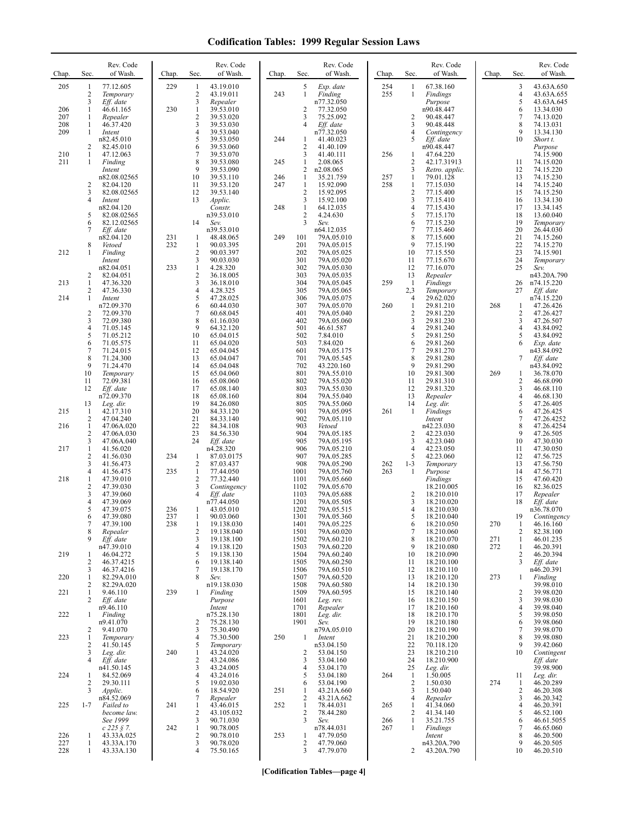| Chap.      | Sec.                           | Rev. Code<br>of Wash.                  | Chap.      | Sec.                     | Rev. Code<br>of Wash.               | Chap.      | Sec.                         | Rev. Code<br>of Wash.                  | Chap.      | Sec.                                      | Rev. Code<br>of Wash.                | Chap.      | Sec.        | Rev. Code<br>of Wash.                 |
|------------|--------------------------------|----------------------------------------|------------|--------------------------|-------------------------------------|------------|------------------------------|----------------------------------------|------------|-------------------------------------------|--------------------------------------|------------|-------------|---------------------------------------|
| 205        | 1<br>$\overline{c}$            | 77.12.605<br>Temporary                 | 229        | 1<br>2                   | 43.19.010<br>43.19.011              | 243        | 5<br>$\mathbf{1}$            | Exp. date<br>Finding                   | 254<br>255 | 1<br>$\mathbf{1}$                         | 67.38.160<br>Findings                |            | 3<br>4      | 43.63A.650<br>43.63A.655              |
| 206        | 3<br>1                         | Eff. date<br>46.61.165                 | 230        | 3<br>$\mathbf{1}$        | Repealer<br>39.53.010               |            | 2                            | n77.32.050<br>77.32.050                |            |                                           | Purpose<br>n90.48.447                |            | 5<br>6      | 43.63A.645<br>13.34.030               |
| 207<br>208 | 1<br>1                         | Repealer<br>46.37.420                  |            | 2<br>3                   | 39.53.020<br>39.53.030              |            | 3<br>4                       | 75.25.092<br>Eff. date                 |            | $\overline{2}$<br>3                       | 90.48.447<br>90.48.448               |            | $\tau$<br>8 | 74.13.020<br>74.13.031                |
| 209        | 1                              | Intent<br>n82.45.010                   |            | 4<br>5                   | 39.53.040<br>39.53.050              | 244        | 1                            | n77.32.050<br>41.40.023                |            | $\overline{4}$<br>5                       | Contingency<br>Eff. date             |            | 9<br>10     | 13.34.130<br>Short t.                 |
| 210        | 2<br>1                         | 82.45.010<br>47.12.063                 |            | 6<br>7                   | 39.53.060<br>39.53.070              |            | 2<br>3                       | 41.40.109<br>41.40.111                 | 256        | 1                                         | n90.48.447<br>47.64.220              |            |             | Purpose<br>74.15.900                  |
| 211        | 1                              | Finding<br>Intent                      |            | 8<br>9                   | 39.53.080<br>39.53.090              | 245        | 1<br>2                       | 2.08.065<br>n2.08.065                  |            | $\overline{2}$<br>$\overline{3}$          | 42.17.31913<br>Retro. applic.        |            | 11<br>12    | 74.15.020<br>74.15.220                |
|            | $\overline{2}$                 | n82.08.02565<br>82.04.120              |            | 10<br>11                 | 39.53.110<br>39.53.120              | 246<br>247 | $\mathbf{1}$<br>$\mathbf{1}$ | 35.21.759<br>15.92.090                 | 257<br>258 | 1<br>1                                    | 79.01.128<br>77.15.030               |            | 13<br>14    | 74.15.230<br>74.15.240                |
|            | 3<br>$\overline{4}$            | 82.08.02565<br>Intent                  |            | 12<br>13                 | 39.53.140<br>Applic.                |            | $\overline{c}$<br>3          | 15.92.095<br>15.92.100                 |            | $\overline{2}$<br>3                       | 77.15.400<br>77.15.410               |            | 15<br>16    | 74.15.250<br>13.34.130                |
|            | 5                              | n82.04.120<br>82.08.02565              |            |                          | Constr.<br>n39.53.010               | 248        | 1<br>2                       | 64.12.035<br>4.24.630                  |            | $\overline{4}$<br>5                       | 77.15.430<br>77.15.170               |            | 17<br>18    | 13.34.145<br>13.60.040                |
|            | 6<br>7                         | 82.12.02565<br>Eff. date               |            | 14                       | Sev.<br>n39.53.010                  |            | 3                            | Sev.<br>n64.12.035                     |            | 6<br>$\overline{7}$                       | 77.15.230<br>77.15.460               |            | 19<br>20    | Temporary<br>26.44.030                |
|            | 8                              | n82.04.120<br>Vetoed                   | 231<br>232 | 1<br>1                   | 48.48.065<br>90.03.395              | 249        | 101<br>201                   | 79A.05.010<br>79A.05.015               |            | 8<br>9                                    | 77.15.600<br>77.15.190               |            | 21<br>22    | 74.15.260<br>74.15.270                |
| 212        | 1                              | Finding<br>Intent                      |            | $\mathbf{2}$<br>3        | 90.03.397<br>90.03.030              |            | 202<br>301                   | 79A.05.025<br>79A.05.020               |            | 10<br>11                                  | 77.15.550<br>77.15.670               |            | 23<br>24    | 74.15.901<br>Temporary                |
|            | 2                              | n82.04.051<br>82.04.051                | 233        | $\mathbf{1}$<br>2        | 4.28.320<br>36.18.005               |            | 302<br>303                   | 79A.05.030<br>79A.05.035               |            | 12<br>13                                  | 77.16.070<br>Repealer                |            | 25          | Sev.<br>n43.20A.790                   |
| 213        | 1<br>$\overline{c}$            | 47.36.320<br>47.36.330                 |            | 3<br>4                   | 36.18.010<br>4.28.325               |            | 304<br>305                   | 79A.05.045<br>79A.05.065               | 259        | $\mathbf{1}$<br>2,3                       | Findings<br>Temporary                |            | 26<br>27    | n74.15.220<br>Eff. date               |
| 214        | 1                              | Intent<br>n72.09.370                   |            | 5<br>6                   | 47.28.025<br>60.44.030              |            | 306<br>307                   | 79A.05.075<br>79A.05.070               | 260        | $\overline{4}$<br>$\mathbf{1}$            | 29.62.020<br>29.81.210               | 268        | 1           | n74.15.220<br>47.26.426               |
|            | $\overline{2}$<br>3            | 72.09.370<br>72.09.380                 |            | $\overline{7}$<br>8      | 60.68.045<br>61.16.030              |            | 401<br>402                   | 79A.05.040<br>79A.05.060               |            | $\overline{c}$<br>$\overline{\mathbf{3}}$ | 29.81.220<br>29.81.230               |            | 2<br>3      | 47.26.427<br>47.26.507                |
|            | $\overline{4}$<br>5            | 71.05.145<br>71.05.212                 |            | 9<br>10                  | 64.32.120<br>65.04.015              |            | 501<br>502                   | 46.61.587<br>7.84.010                  |            | $\overline{4}$<br>5                       | 29.81.240<br>29.81.250               |            | 4<br>5      | 43.84.092<br>43.84.092                |
|            | 6<br>$\overline{7}$            | 71.05.575<br>71.24.015                 |            | 11<br>12                 | 65.04.020<br>65.04.045              |            | 503<br>601                   | 7.84.020<br>79A.05.175                 |            | 6<br>$\sqrt{ }$                           | 29.81.260<br>29.81.270               |            | 6           | Exp. date<br>n43.84.092               |
|            | 8<br>9                         | 71.24.300<br>71.24.470                 |            | 13<br>14                 | 65.04.047<br>65.04.048              |            | 701<br>702                   | 79A.05.545<br>43.220.160               |            | 8<br>9                                    | 29.81.280<br>29.81.290               |            | 7           | Eff. date<br>n43.84.092               |
|            | 10<br>11                       | Temporary<br>72.09.381                 |            | 15<br>16                 | 65.04.060<br>65.08.060              |            | 801<br>802                   | 79A.55.010                             |            | 10<br>11                                  | 29.81.300<br>29.81.310               | 269        | 1<br>2      | 36.78.070                             |
|            | 12                             | Eff. date<br>n72.09.370                |            | 17<br>18                 | 65.08.140<br>65.08.160              |            | 803<br>804                   | 79A.55.020<br>79A.55.030<br>79A.55.040 |            | 12<br>13                                  | 29.81.320<br>Repealer                |            | 3<br>4      | 46.68.090<br>46.68.110<br>46.68.130   |
| 215        | 13<br>-1                       | Leg. dir.<br>42.17.310                 |            | 19<br>20                 | 84.26.080<br>84.33.120              |            | 805<br>901                   | 79A.55.060<br>79A.05.095               | 261        | 14<br>1                                   | Leg. dir.                            |            | 5<br>6      | 47.26.405<br>47.26.425                |
|            | 2<br>1                         | 47.04.240                              |            | 21<br>22                 | 84.33.140<br>84.34.108              |            | 902<br>903                   | 79A.05.110                             |            |                                           | Findings<br>Intent                   |            | $\tau$<br>8 | 47.26.4252<br>47.26.4254              |
| 216        | $\overline{c}$<br>3            | 47.06A.020<br>47.06A.030<br>47.06A.040 |            | 23<br>24                 | 84.56.330<br>Eff. date              |            | 904<br>905                   | Vetoed<br>79A.05.185<br>79A.05.195     |            | 2<br>3                                    | n42.23.030<br>42.23.030<br>42.23.040 |            | 9<br>10     | 47.26.505<br>47.30.030                |
| 217        | $\mathbf{1}$<br>$\overline{2}$ | 41.56.020<br>41.56.030                 | 234        | $\mathbf{1}$             | n4.28.320<br>87.03.0175             |            | 906<br>907                   | 79A.05.210<br>79A.05.285               |            | $\overline{4}$<br>5                       | 42.23.050<br>42.23.060               |            | 11<br>12    | 47.30.050<br>47.56.725                |
|            | 3<br>$\overline{4}$            | 41.56.473<br>41.56.475                 | 235        | 2<br>$\mathbf{1}$        | 87.03.437<br>77.44.050              |            | 908<br>1001                  | 79A.05.290<br>79A.05.760               | 262<br>263 | $1 - 3$<br>1                              | Temporary<br>Purpose                 |            | 13<br>14    | 47.56.750<br>47.56.771                |
| 218        | 1<br>$\sqrt{2}$                | 47.39.010<br>47.39.030                 |            | 2<br>3                   | 77.32.440<br>Contingency            |            | 1101<br>1102                 | 79A.05.660<br>79A.05.670               |            |                                           | Findings<br>18.210.005               |            | 15<br>16    | 47.60.420<br>82.36.025                |
|            | 3<br>$\overline{4}$            | 47.39.060<br>47.39.069                 |            | 4                        | Eff. date<br>n77.44.050             |            | 1103<br>1201                 | 79A.05.688<br>79A.05.505               |            | $\overline{\mathbf{c}}$<br>3              | 18.210.010<br>18.210.020             |            | 17<br>18    | Repealer<br>Eff. date                 |
|            | 5<br>6                         | 47.39.075<br>47.39.080                 | 236<br>237 | 1<br>$\mathbf{1}$        | 43.05.010<br>90.03.060              |            | 1202<br>1301                 | 79A.05.515<br>79A.05.360               |            | $\overline{4}$<br>5                       | 18.210.030<br>18.210.040             |            | 19          | n36.78.070                            |
|            | 7<br>8                         | 47.39.100<br>Repealer                  | 238        | 1<br>2                   | 19.138.030<br>19.138.040            |            | 1401<br>1501                 | 79A.05.225<br>79A.60.020               |            | 6<br>7                                    | 18.210.050<br>18.210.060             | 270        | -1<br>2     | Contingency<br>46.16.160<br>82.38.100 |
|            | 9                              | Eff. date<br>n47.39.010                |            | 3<br>4                   | 19.138.100<br>19.138.120            |            | 1502<br>1503                 | 79A.60.210<br>79A.60.220               |            | 8<br>9                                    | 18.210.070<br>18.210.080             | 271<br>272 | 1<br>1      | 46.01.235<br>46.20.391                |
| 219        | -1<br>2                        | 46.04.272<br>46.37.4215                |            | 5<br>6                   | 19.138.130<br>19.138.140            |            | 1504<br>1505                 | 79A.60.240<br>79A.60.250               |            | 10<br>11                                  | 18.210.090<br>18.210.100             |            | 2<br>3      | 46.20.394<br>Eff. date                |
| 220        | 3<br>1                         | 46.37.4216<br>82.29A.010               |            | 7<br>8                   | 19.138.170<br>Sev.                  |            | 1506<br>1507                 | 79A.60.510<br>79A.60.520               |            | 12<br>13                                  | 18.210.110<br>18.210.120             | 273        | 1           | n46.20.391<br>Finding                 |
| 221        | 2<br>1                         | 82.29A.020<br>9.46.110                 | 239        | 1                        | n19.138.030<br>Finding              |            | 1508<br>1509                 | 79A.60.580<br>79A.60.595               |            | 14<br>15                                  | 18.210.130<br>18.210.140             |            | 2           | 39.98.010<br>39.98.020                |
|            | 2                              | Eff. date<br>n9.46.110                 |            |                          | Purpose<br>Intent                   |            | 1601<br>1701                 | Leg. rev.<br>Repealer                  |            | 16<br>17                                  | 18.210.150<br>18.210.160             |            | 3<br>4      | 39.98.030<br>39.98.040                |
| 222        | 1                              | Finding<br>n9.41.070                   |            | 2                        | n75.28.130<br>75.28.130             |            | 1801<br>1901                 | Leg. dir.<br>Sev.                      |            | 18<br>19                                  | 18.210.170<br>18.210.180             |            | 5<br>6      | 39.98.050<br>39.98.060                |
| 223        | 2<br>1                         | 9.41.070<br>Temporary                  |            | 3<br>4                   | 75.30.490<br>75.30.500              | 250        | 1                            | n79A.05.010<br>Intent                  |            | 20<br>21                                  | 18.210.190<br>18.210.200             |            | 7<br>8      | 39.98.070<br>39.98.080                |
|            | 2<br>3                         | 41.50.145<br>Leg. dir.                 | 240        | 5<br>$\mathbf{1}$        | Temporary<br>43.24.020              |            | 2                            | n53.04.150<br>53.04.150                |            | 22<br>23                                  | 70.118.120<br>18.210.210             |            | 9<br>10     | 39.42.060<br>Contingent               |
|            | $\overline{4}$                 | Eff. date<br>n41.50.145                |            | $\overline{c}$<br>3      | 43.24.086<br>43.24.005              |            | 3<br>4                       | 53.04.160<br>53.04.170                 |            | 24<br>25                                  | 18.210.900                           |            |             | Eff. date<br>39.98.900                |
| 224        | -1<br>2                        | 84.52.069<br>29.30.111                 |            | $\overline{4}$<br>5      | 43.24.016<br>19.02.030              |            | 5<br>6                       | 53.04.180<br>53.04.190                 | 264        | -1<br>$\overline{c}$                      | Leg. dir.<br>1.50.005<br>1.50.030    | 274        | 11<br>1     | Leg. dir.<br>46.20.289                |
|            | 3                              | Applic.<br>n84.52.069                  |            | 6<br>7                   | 18.54.920                           | 251        | 1                            | 43.21A.660<br>43.21A.662               |            | 3<br>4                                    | 1.50.040                             |            | 2<br>3      | 46.20.308<br>46.20.342                |
| 225        | $1 - 7$                        | Failed to<br>become law.               | 241        | 1<br>2                   | Repealer<br>43.46.015<br>43.105.032 | 252        | 2<br>$\mathbf{1}$<br>2       | 78.44.031<br>78.44.280                 | 265        | -1<br>2                                   | Repealer<br>41.34.060<br>41.34.140   |            | 4<br>5      | 46.20.391<br>46.52.100                |
|            |                                | See 1999                               |            | 3                        | 90.71.030                           |            | 3                            | Sev.                                   | 266        | $\mathbf{1}$<br>1                         | 35.21.755                            |            | 6<br>7      | 46.61.5055                            |
| 226        | 1                              | $c$ 225 $\AA$ 7.<br>43.33A.025         | 242        | 1<br>$\overline{2}$<br>3 | 90.78.005<br>90.78.010              | 253        | $\mathbf{1}$<br>2            | n78.44.031<br>47.79.050                | 267        |                                           | Findings<br>Intent                   |            | 8<br>9      | 46.65.060<br>46.20.500                |
| 227<br>228 | 1<br>1                         | 43.33A.170<br>43.33A.130               |            | 4                        | 90.78.020<br>75.50.165              |            | 3                            | 47.79.060<br>47.79.070                 |            | 2                                         | n43.20A.790<br>43.20A.790            |            | 10          | 46.20.505<br>46.20.510                |

**[Codification Tables—page 4]**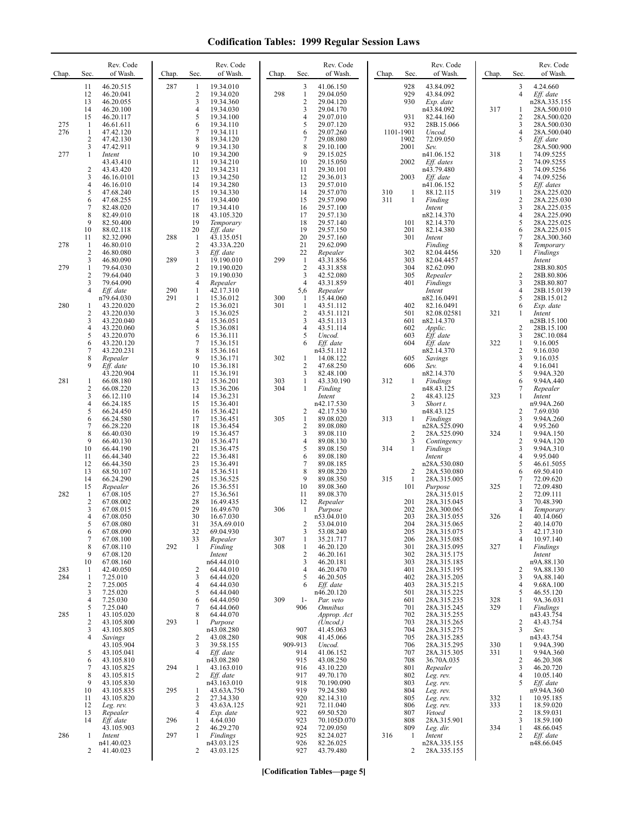| Chap.      | Sec.                                             | Rev. Code<br>of Wash.                                                                   | Chap.      | Rev. Code<br>Sec.<br>of Wash.                                                                                                      | Chap.      | Sec.                                                    | Rev. Code<br>of Wash.                                                                   | Chap.      | Sec.                                         | Rev. Code<br>of Wash.                                                                  | Chap.      | Sec.                                            | Rev. Code<br>of Wash.                                                                                |
|------------|--------------------------------------------------|-----------------------------------------------------------------------------------------|------------|------------------------------------------------------------------------------------------------------------------------------------|------------|---------------------------------------------------------|-----------------------------------------------------------------------------------------|------------|----------------------------------------------|----------------------------------------------------------------------------------------|------------|-------------------------------------------------|------------------------------------------------------------------------------------------------------|
| 275<br>276 | 11<br>12<br>13<br>14<br>15<br>-1<br>$\mathbf{1}$ | 46.20.515<br>46.20.041<br>46.20.055<br>46.20.100<br>46.20.117<br>46.61.611<br>47.42.120 | 287        | 19.34.010<br>1<br>2<br>19.34.020<br>3<br>19.34.360<br>4<br>19.34.030<br>5<br>19.34.100<br>19.34.110<br>6<br>7<br>19.34.111         | 298        | 3<br>$\mathbf{1}$<br>$\overline{2}$<br>3<br>4<br>5<br>6 | 41.06.150<br>29.04.050<br>29.04.120<br>29.04.170<br>29.07.010<br>29.07.120<br>29.07.260 |            | 928<br>929<br>930<br>931<br>932<br>1101-1901 | 43.84.092<br>43.84.092<br>Exp. date<br>n43.84.092<br>82.44.160<br>28B.15.066<br>Uncod. | 317        | 3<br>$\overline{4}$<br>1<br>2<br>3<br>4         | 4.24.660<br>Eff. date<br>n28A.335.155<br>28A.500.010<br>28A.500.020<br>28A.500.030<br>28A.500.040    |
| 277        | 2<br>3<br>1<br>$\overline{2}$<br>3               | 47.42.130<br>47.42.911<br>Intent<br>43.43.410<br>43.43.420<br>46.16.0101                |            | 8<br>19.34.120<br>9<br>19.34.130<br>10<br>19.34.200<br>11<br>19.34.210<br>12<br>19.34.231<br>13<br>19.34.250                       |            | 7<br>8<br>9<br>10<br>11<br>12                           | 29.08.080<br>29.10.100<br>29.15.025<br>29.15.050<br>29.30.101<br>29.36.013              |            | 1902<br>2001<br>2002<br>2003                 | 72.09.050<br>Sev.<br>n41.06.152<br>Eff. dates<br>n43.79.480<br>Eff. date               | 318        | 5<br>1<br>$\overline{c}$<br>3<br>$\overline{4}$ | Eff. date<br>28A.500.900<br>74.09.5255<br>74.09.5255<br>74.09.5256<br>74.09.5256                     |
|            | 4<br>5<br>6<br>7<br>8<br>9<br>10                 | 46.16.010<br>47.68.240<br>47.68.255<br>82.48.020<br>82.49.010<br>82.50.400<br>88.02.118 |            | 14<br>19.34.280<br>15<br>19.34.330<br>16<br>19.34.400<br>17<br>19.34.410<br>18<br>43.105.320<br>19<br>Temporary<br>20<br>Eff. date |            | 13<br>14<br>15<br>16<br>17<br>18<br>19                  | 29.57.010<br>29.57.070<br>29.57.090<br>29.57.100<br>29.57.130<br>29.57.140<br>29.57.150 | 310<br>311 | 1<br>$\mathbf{1}$<br>101<br>201              | n41.06.152<br>88.12.115<br>Finding<br>Intent<br>n82.14.370<br>82.14.370<br>82.14.380   | 319        | 5<br>1<br>2<br>3<br>4<br>5<br>6                 | Eff. dates<br>28A.225.020<br>28A.225.030<br>28A.225.035<br>28A.225.090<br>28A.225.025<br>28A.225.015 |
| 278        | 11<br>$\mathbf{1}$<br>$\overline{2}$<br>3        | 82.32.090<br>46.80.010<br>46.80.080<br>46.80.090                                        | 288<br>289 | -1<br>43.135.051<br>2<br>43.33A.220<br>3<br>Eff. date<br>19.190.010<br>1                                                           | 299        | 20<br>21<br>22<br>$\mathbf{1}$                          | 29.57.160<br>29.62.090<br>Repealer<br>43.31.856                                         |            | 301<br>302<br>303                            | Intent<br>Finding<br>82.04.4456<br>82.04.4457                                          | 320        | 7<br>8<br>1                                     | 28A.300.360<br>Temporary<br>Findings<br>Intent                                                       |
| 279        | 1<br>2<br>3<br>4                                 | 79.64.030<br>79.64.040<br>79.64.090<br>Eff. date<br>n79.64.030                          | 290<br>291 | 2<br>19.190.020<br>3<br>19.190.030<br>4<br>Repealer<br>1<br>42.17.310<br>$\mathbf{1}$<br>15.36.012                                 | 300        | $\overline{2}$<br>3<br>$\overline{4}$<br>5,6<br>-1      | 43.31.858<br>42.52.080<br>43.31.859<br>Repealer<br>15.44.060                            |            | 304<br>305<br>401                            | 82.62.090<br>Repealer<br>Findings<br>Intent<br>n82.16.0491                             |            | 2<br>3<br>4<br>5                                | 28B.80.805<br>28B.80.806<br>28B.80.807<br>28B.15.0139<br>28B.15.012                                  |
| 280        | -1<br>$\overline{2}$<br>3<br>4<br>5              | 43.220.020<br>43.220.030<br>43.220.040<br>43.220.060                                    |            | $\overline{c}$<br>15.36.021<br>3<br>15.36.025<br>4<br>15.36.051<br>5<br>15.36.081                                                  | 301        | $\mathbf{1}$<br>$\overline{2}$<br>3<br>4<br>5           | 43.51.112<br>43.51.1121<br>43.51.113<br>43.51.114                                       |            | 402<br>501<br>601<br>602<br>603              | 82.16.0491<br>82.08.02581<br>n82.14.370<br>Applic.                                     | 321        | 6<br>1<br>2<br>3                                | Exp. date<br>Intent<br>n28B.15.100<br>28B.15.100                                                     |
|            | 6<br>7<br>8<br>9                                 | 43.220.070<br>43.220.120<br>43.220.231<br>Repealer<br>Eff. date<br>43.220.904           |            | 6<br>15.36.111<br>7<br>15.36.151<br>8<br>15.36.161<br>9<br>15.36.171<br>10<br>15.36.181<br>11<br>15.36.191                         | 302        | 6<br>1<br>$\overline{2}$<br>3                           | Uncod.<br>Eff. date<br>n43.51.112<br>14.08.122<br>47.68.250<br>82.48.100                |            | 604<br>605<br>606                            | $Eff.$ date<br>$Eff.$ date<br>n82.14.370<br>Savings<br>Sev.<br>n82.14.370              | 322        | $\mathbf{1}$<br>2<br>3<br>4<br>5                | 28C.10.084<br>9.16.005<br>9.16.030<br>9.16.035<br>9.16.041<br>9.94A.320                              |
| 281        | $\mathbf{1}$<br>$\overline{2}$<br>3<br>4<br>5    | 66.08.180<br>66.08.220<br>66.12.110<br>66.24.185<br>66.24.450                           |            | 12<br>15.36.201<br>13<br>15.36.206<br>14<br>15.36.231<br>15<br>15.36.401<br>16<br>15.36.421                                        | 303<br>304 | 1<br>$\mathbf{1}$<br>2                                  | 43.330.190<br>Finding<br>Intent<br>n42.17.530<br>42.17.530                              | 312        | 1<br>2<br>3                                  | Findings<br>n48.43.125<br>48.43.125<br>Short t.<br>n48.43.125                          | 323        | 6<br>7<br>1<br>2                                | 9.94A.440<br>Repealer<br>Intent<br>n9.94A.260<br>7.69.030                                            |
|            | 6<br>7<br>8<br>9<br>10                           | 66.24.580<br>66.28.220<br>66.40.030<br>66.40.130<br>66.44.190                           |            | 17<br>15.36.451<br>18<br>15.36.454<br>19<br>15.36.457<br>20<br>15.36.471<br>21<br>15.36.475                                        | 305        | $\mathbf{1}$<br>$\overline{\mathbf{c}}$<br>3<br>4<br>5  | 89.08.020<br>89.08.080<br>89.08.110<br>89.08.130<br>89.08.150                           | 313<br>314 | 1<br>$\overline{\mathbf{c}}$<br>3<br>1       | Findings<br>n28A.525.090<br>28A.525.090<br>Contingency<br>Findings                     | 324        | 3<br>4<br>1<br>2<br>3                           | 9.94A.260<br>9.95.260<br>9.94A.150<br>9.94A.120<br>9.94A.310                                         |
|            | 11<br>12<br>13<br>14<br>15                       | 66.44.340<br>66.44.350<br>68.50.107<br>66.24.290<br>Repealer                            |            | 22<br>15.36.481<br>23<br>15.36.491<br>24<br>15.36.511<br>25<br>15.36.525<br>26<br>15.36.551                                        |            | 6<br>7<br>8<br>9<br>10                                  | 89.08.180<br>89.08.185<br>89.08.220<br>89.08.350<br>89.08.360                           | 315        | 2<br>1<br>101                                | Intent<br>n28A.530.080<br>28A.530.080<br>28A.315.005<br>Purpose                        | 325        | 4<br>5<br>6<br>7<br>1                           | 9.95.040<br>46.61.5055<br>69.50.410<br>72.09.620<br>72.09.480                                        |
| 282        | 1<br>2<br>3<br>4<br>5                            | 67.08.105<br>67.08.002<br>67.08.015<br>67.08.050<br>67.08.080                           |            | 27<br>15.36.561<br>28<br>16.49.435<br>29<br>16.49.670<br>30<br>16.67.030<br>31<br>35A.69.010<br>32<br>69.04.930                    | 306        | 11<br>12<br>1<br>2                                      | 89.08.370<br>Repealer<br>Purpose<br>n53.04.010<br>53.04.010                             |            | 201<br>202<br>203<br>204<br>205              | 28A.315.015<br>28A.315.045<br>28A.300.065<br>28A.315.055<br>28A.315.065                | 326        | 2<br>3<br>4<br>2<br>3                           | 72.09.111<br>70.48.390<br>Temporary<br>40.14.060<br>40.14.070                                        |
|            | 6<br>7<br>8<br>9<br>10                           | 67.08.090<br>67.08.100<br>67.08.110<br>67.08.120<br>67.08.160                           | 292        | 33<br>Repealer<br>Finding<br>1<br>Intent<br>n64.44.010                                                                             | 307<br>308 | 3<br>1<br>$\mathbf{1}$<br>$\overline{2}$<br>3           | 53.08.240<br>35.21.717<br>46.20.120<br>46.20.161<br>46.20.181                           |            | 206<br>301<br>302<br>303                     | 28A.315.075<br>28A.315.085<br>28A.315.095<br>28A.315.175<br>28A.315.185                | 327        | 4<br>1                                          | 42.17.310<br>10.97.140<br>Findings<br>Intent<br>n9A.88.130                                           |
| 283<br>284 | -1<br>$\mathbf{1}$<br>2<br>3<br>4                | 42.40.050<br>7.25.010<br>7.25.005<br>7.25.020<br>7.25.030                               |            | 64.44.010<br>2<br>3<br>64.44.020<br>4<br>64.44.030<br>5<br>64.44.040<br>64.44.050<br>6                                             | 309        | 4<br>5<br>6<br>$1-$                                     | 46.20.470<br>46.20.505<br>Eff. date<br>n46.20.120<br>Par. veto                          |            | 401<br>402<br>403<br>501<br>601              | 28A.315.195<br>28A.315.205<br>28A.315.215<br>28A.315.225<br>28A.315.235                | 328        | 2<br>3<br>4<br>5<br>$\mathbf{1}$                | 9A.88.130<br>9A.88.140<br>9.68A.100<br>46.55.120<br>9A.36.031                                        |
| 285        | 5<br>1<br>2<br>3<br>4                            | 7.25.040<br>43.105.020<br>43.105.800<br>43.105.805<br>Savings                           | 293        | 7<br>64.44.060<br>8<br>64.44.070<br>1<br>Purpose<br>n43.08.280<br>43.08.280<br>2                                                   |            | 906<br>907<br>908                                       | <b>Omnibus</b><br>Approp. Act<br>(Uncod.)<br>41.45.063<br>41.45.066                     |            | 701<br>702<br>703<br>704<br>705              | 28A.315.245<br>28A.315.255<br>28A.315.265<br>28A.315.275<br>28A.315.285                | 329        | 1<br>2<br>3                                     | Findings<br>n43.43.754<br>43.43.754<br>Sev.<br>n43.43.754                                            |
|            | 5<br>6<br>7<br>8                                 | 43.105.904<br>43.105.041<br>43.105.810<br>43.105.825<br>43.105.815                      | 294        | 3<br>39.58.155<br>$\overline{4}$<br>Eff. date<br>n43.08.280<br>43.163.010<br>1<br>2<br>Eff. date                                   |            | 909-913<br>914<br>915<br>916<br>917                     | Uncod.<br>41.06.152<br>43.08.250<br>43.10.220<br>49.70.170                              |            | 706<br>707<br>708<br>801<br>802              | 28A.315.295<br>28A.315.305<br>36.70A.035<br>Repealer<br>Leg. rev.                      | 330<br>331 | 1<br>1<br>2<br>3<br>4                           | 9.94A.390<br>9.94A.360<br>46.20.308<br>46.20.720<br>10.05.140                                        |
|            | 9<br>10<br>11<br>12<br>13                        | 43.105.830<br>43.105.835<br>43.105.820<br>Leg. rev.<br>Repealer                         | 295        | n43.163.010<br>43.63A.750<br>1<br>2<br>27.34.330<br>3<br>43.63A.125<br>4<br>Exp. date                                              |            | 918<br>919<br>920<br>921<br>922                         | 70.190.090<br>79.24.580<br>82.14.310<br>72.11.040<br>69.50.520                          |            | 803<br>804<br>805<br>806<br>807              | Leg. rev.<br>Leg. rev.<br>Leg. rev.<br>Leg. rev.<br>Vetoed                             | 332<br>333 | 5<br>1<br>$\mathbf{1}$<br>2                     | Eff. date<br>n9.94A.360<br>10.95.185<br>18.59.020<br>18.59.031                                       |
| 286        | 14<br>1<br>2                                     | Eff. date<br>43.105.903<br>Intent<br>n41.40.023<br>41.40.023                            | 296<br>297 | 4.64.030<br>1<br>2<br>46.29.270<br>$\mathbf{1}$<br>Findings<br>n43.03.125<br>2<br>43.03.125                                        |            | 923<br>924<br>925<br>926<br>927                         | 70.105D.070<br>72.09.050<br>82.24.027<br>82.26.025<br>43.79.480                         | 316        | 808<br>809<br>1<br>2                         | 28A.315.901<br>Leg. dir.<br>Intent<br>n28A.335.155<br>28A.335.155                      | 334        | 3<br>1<br>2                                     | 18.59.100<br>48.66.045<br>Eff. date<br>n48.66.045                                                    |

**[Codification Tables—page 5]**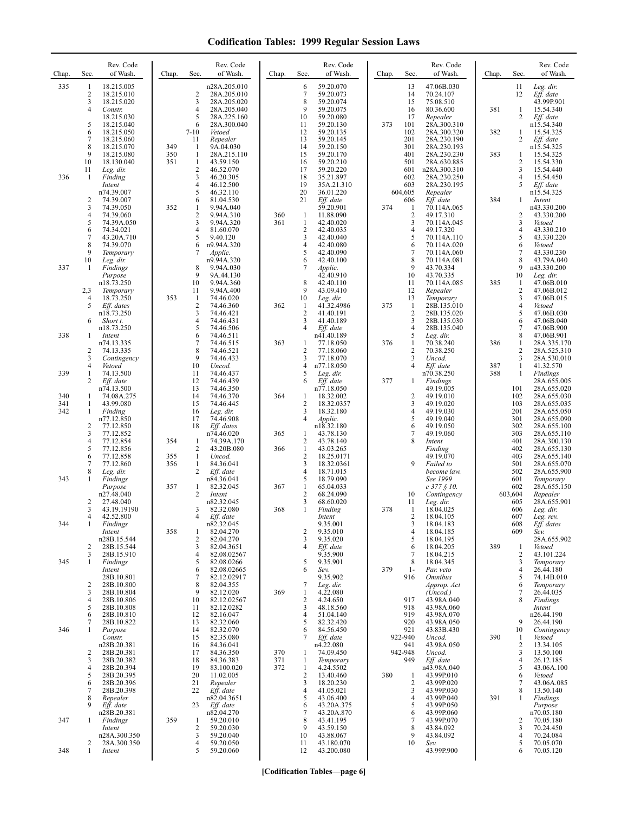| Chap. | Sec.                | Rev. Code<br>of Wash.     | Chap.      | Sec.                           | Rev. Code<br>of Wash.      | Chap.      | Sec.                         | Rev. Code<br>of Wash.    | Chap. | Sec.                           | Rev. Code<br>of Wash.                | Chap. | Sec.                         | Rev. Code<br>of Wash.      |
|-------|---------------------|---------------------------|------------|--------------------------------|----------------------------|------------|------------------------------|--------------------------|-------|--------------------------------|--------------------------------------|-------|------------------------------|----------------------------|
| 335   | -1<br>$\sqrt{2}$    | 18.215.005                |            | 2                              | n28A.205.010               |            | 6<br>7                       | 59.20.070<br>59.20.073   |       | 13<br>14                       | 47.06B.030<br>70.24.107              |       | 11<br>12                     | Leg. dir.<br>Eff. date     |
|       | 3                   | 18.215.010<br>18.215.020  |            | 3                              | 28A.205.010<br>28A.205.020 |            | 8                            | 59.20.074                |       | 15                             | 75.08.510                            |       |                              | 43.99P.901                 |
|       | 4                   | Constr.<br>18.215.030     |            | 4<br>5                         | 28A.205.040<br>28A.225.160 |            | 9<br>10                      | 59.20.075<br>59.20.080   |       | 16<br>17                       | 80.36.600<br>Repealer                | 381   | $\mathbf{1}$<br>2            | 15.54.340<br>Eff. date     |
|       | 5<br>6              | 18.215.040<br>18.215.050  |            | 6<br>$7-10$                    | 28A.300.040<br>Vetoed      |            | 11<br>12                     | 59.20.130<br>59.20.135   | 373   | 101<br>102                     | 28A.300.310<br>28A.300.320           | 382   | 1                            | n15.54.340<br>15.54.325    |
|       | 7                   | 18.215.060                |            | 11                             | Repealer                   |            | 13                           | 59.20.145                |       | 201                            | 28A.230.190                          |       | 2                            | Eff. date                  |
|       | 8<br>9              | 18.215.070<br>18.215.080  | 349<br>350 | 1<br>1                         | 9A.04.030<br>28A.215.110   |            | 14<br>15                     | 59.20.150<br>59.20.170   |       | 301<br>401                     | 28A.230.193<br>28A.230.230           | 383   | 1                            | n15.54.325<br>15.54.325    |
|       | 10<br>11            | 18.130.040                | 351        | $\mathbf{1}$<br>$\overline{c}$ | 43.59.150                  |            | 16<br>17                     | 59.20.210<br>59.20.220   |       | 501<br>601                     | 28A.630.885                          |       | $\overline{2}$<br>3          | 15.54.330                  |
| 336   | -1                  | Leg. dir.<br>Finding      |            | 3                              | 46.52.070<br>46.20.305     |            | 18                           | 35.21.897                |       | 602                            | n28A.300.310<br>28A.230.250          |       | 4                            | 15.54.440<br>15.54.450     |
|       |                     | Intent<br>n74.39.007      |            | 4<br>5                         | 46.12.500<br>46.32.110     |            | 19<br>20                     | 35A.21.310<br>36.01.220  |       | 603<br>604,605                 | 28A.230.195<br>Repealer              |       | 5                            | Eff. date<br>n15.54.325    |
|       | $\overline{c}$<br>3 | 74.39.007<br>74.39.050    | 352        | 6<br>1                         | 81.04.530<br>9.94A.040     |            | 21                           | Eff. date<br>59.20.901   | 374   | 606<br>-1                      | Eff. date<br>70.114A.065             | 384   | 1                            | Intent<br>n43.330.200      |
|       | $\overline{4}$      | 74.39.060                 |            | $\overline{\mathbf{c}}$        | 9.94A.310                  | 360        | 1                            | 11.88.090                |       | $\sqrt{2}$                     | 49.17.310                            |       | 2                            | 43.330.200                 |
|       | 5<br>6              | 74.39A.050<br>74.34.021   |            | 3<br>4                         | 9.94A.320<br>81.60.070     | 361        | 1<br>$\overline{\mathbf{c}}$ | 42.40.020<br>42.40.035   |       | 3<br>$\overline{4}$            | 70.114A.045<br>49.17.320             |       | 3<br>4                       | Vetoed<br>43.330.210       |
|       | 7<br>8              | 43.20A.710<br>74.39.070   |            | 5<br>6                         | 9.40.120<br>n9.94A.320     |            | 3<br>4                       | 42.40.040<br>42.40.080   |       | 5<br>6                         | 70.114A.110                          |       | 5<br>6                       | 43.330.220<br>Vetoed       |
|       | 9                   | Temporary                 |            | 7                              | Applic.                    |            | 5                            | 42.40.090                |       | $\overline{7}$                 | 70.114A.020<br>70.114A.060           |       | 7                            | 43.330.230                 |
| 337   | 10<br>1             | Leg. dir.<br>Findings     |            | 8                              | n9.94A.320<br>9.94A.030    |            | 6<br>7                       | 42.40.100<br>Applic.     |       | 8<br>9                         | 70.114A.081<br>43.70.334             |       | 8<br>9                       | 43.79A.040<br>n43.330.200  |
|       |                     | Purpose<br>n18.73.250     |            | 9<br>10                        | 9A.44.130<br>9.94A.360     |            | 8                            | 42.40.910<br>42.40.110   |       | 10<br>11                       | 43.70.335<br>70.114A.085             | 385   | 10<br>-1                     | Leg. dir.<br>47.06B.010    |
|       | 2,3                 | Temporary                 |            | 11                             | 9.94A.400                  |            | 9                            | 43.09.410                |       | 12                             | Repealer                             |       | $\overline{2}$               | 47.06B.012                 |
|       | $\overline{4}$<br>5 | 18.73.250<br>Eff. dates   | 353        | $\mathbf{1}$<br>2              | 74.46.020<br>74.46.360     | 362        | 10<br>-1                     | Leg. dir.<br>41.32.4986  | 375   | 13<br>1                        | Temporary<br>28B.135.010             |       | 3<br>$\overline{\mathbf{4}}$ | 47.06B.015<br>Vetoed       |
|       | 6                   | n18.73.250                |            | 3<br>4                         | 74.46.421<br>74.46.431     |            | $\overline{c}$<br>3          | 41.40.191<br>41.40.189   |       | $\sqrt{2}$<br>3                | 28B.135.020                          |       | 5<br>6                       | 47.06B.030                 |
|       |                     | Short t.<br>n18.73.250    |            | 5                              | 74.46.506                  |            | 4                            | Eff. date                |       | $\overline{4}$                 | 28B.135.030<br>28B.135.040           |       | $\tau$                       | 47.06B.040<br>47.06B.900   |
| 338   | -1                  | Intent<br>n74.13.335      |            | 6<br>7                         | 74.46.511<br>74.46.515     | 363        | 1                            | n41.40.189<br>77.18.050  | 376   | 5<br>1                         | Leg. dir.<br>70.38.240               | 386   | 8<br>$\mathbf{1}$            | 47.06B.901<br>28A.335.170  |
|       | $\overline{2}$<br>3 | 74.13.335<br>Contingency  |            | 8<br>9                         | 74.46.521<br>74.46.433     |            | 2<br>3                       | 77.18.060<br>77.18.070   |       | $\overline{2}$<br>3            | 70.38.250<br>Uncod.                  |       | $\overline{2}$<br>3          | 28A.525.310<br>28A.530.010 |
|       | 4                   | Vetoed                    |            | 10                             | Uncod.                     |            | 4                            | n77.18.050               |       | $\overline{4}$                 | Eff. date                            | 387   | 1                            | 41.32.570                  |
| 339   | 1<br>2              | 74.13.500<br>Eff. date    |            | 11<br>12                       | 74.46.437<br>74.46.439     |            | 5<br>6                       | Leg. dir.<br>Eff. date   | 377   | 1                              | n70.38.250<br>Findings               | 388   | 1                            | Findings<br>28A.655.005    |
| 340   | -1                  | n74.13.500<br>74.08A.275  |            | 13<br>14                       | 74.46.350<br>74.46.370     | 364        | 1                            | n77.18.050<br>18.32.002  |       | $\overline{c}$                 | 49.19.005<br>49.19.010               |       | 101<br>102                   | 28A.655.020<br>28A.655.030 |
| 341   | -1                  | 43.99.080                 |            | 15                             | 74.46.445                  |            | 2                            | 18.32.0357               |       | 3                              | 49.19.020                            |       | 103                          | 28A.655.035                |
| 342   | -1                  | Finding<br>n77.12.850     |            | 16<br>17                       | Leg. dir.<br>74.46.908     |            | 3<br>$\overline{4}$          | 18.32.180<br>Applic.     |       | $\overline{4}$<br>5            | 49.19.030<br>49.19.040               |       | 201<br>301                   | 28A.655.050<br>28A.655.090 |
|       | $\overline{c}$<br>3 | 77.12.850<br>77.12.852    |            | 18                             | Eff. dates<br>n74.46.020   | 365        | 1                            | n18.32.180<br>43.78.130  |       | 6<br>7                         | 49.19.050<br>49.19.060               |       | 302<br>303                   | 28A.655.100<br>28A.655.110 |
|       | 4                   | 77.12.854                 | 354        | -1                             | 74.39A.170                 |            | 2                            | 43.78.140                |       | 8                              | Intent                               |       | 401                          | 28A.300.130                |
|       | 5<br>6              | 77.12.856<br>77.12.858    | 355        | 2<br>1                         | 43.20B.080<br>Uncod.       | 366        | $\mathbf{1}$<br>2            | 43.03.265<br>18.25.0171  |       |                                | Finding<br>49.19.070                 |       | 402<br>403                   | 28A.655.130<br>28A.655.140 |
|       | 7<br>8              | 77.12.860<br>Leg. dir.    | 356        | 1<br>2                         | 84.36.041<br>Eff. date     |            | 3<br>4                       | 18.32.0361<br>18.71.015  |       | 9                              | Failed to<br>become law.             |       | 501<br>502                   | 28A.655.070<br>28A.655.900 |
| 343   | 1                   | Findings                  |            |                                | n84.36.041                 |            | 5                            | 18.79.090                |       |                                | See 1999                             |       | 601                          | Temporary                  |
|       |                     | Purpose<br>n27.48.040     | 357        | 1<br>2                         | 82.32.045<br>Intent        | 367        | 1<br>2                       | 65.04.033<br>68.24.090   |       | 10                             | $c$ 377 $\S$ 10.<br>Contingency      |       | 602<br>603,604               | 28A.655.150<br>Repealer    |
|       | $\overline{2}$<br>3 | 27.48.040<br>43.19.19190  |            | 3                              | n82.32.045<br>82.32.080    | 368        | 3<br>1                       | 68.60.020<br>Finding     | 378   | 11<br>-1                       | Leg. dir.<br>18.04.025               |       | 605<br>606                   | 28A.655.901<br>Leg. dir.   |
|       | 4                   | 42.52.800                 |            |                                | Eff. date                  |            |                              | Intent                   |       | 2                              | 18.04.105                            |       | 607                          | Leg. rev.                  |
| 344   | 1                   | Findings<br>Intent        | 358        | 1                              | n82.32.045<br>82.04.270    |            | 2                            | 9.35.001<br>9.35.010     |       | $\mathbf{3}$<br>$\overline{4}$ | 18.04.183<br>18.04.185               |       | 608<br>609                   | Eff. dates<br>Sev.         |
|       | $\overline{c}$      | n28B.15.544<br>28B.15.544 |            | 2<br>3                         | 82.04.270<br>82.04.3651    |            | 3<br>4                       | 9.35.020<br>Eff. date    |       | 5<br>6                         | 18.04.195<br>18.04.205               | 389   | -1                           | 28A.655.902<br>Vetoed      |
|       | 3                   | 28B.15.910                |            | 4                              | 82.08.02567                |            |                              | 9.35.900                 |       | $\overline{7}$                 | 18.04.215                            |       | $\overline{2}$               | 43.101.224                 |
| 345   | 1                   | Findings<br>Intent        |            | 5<br>6                         | 82.08.0266<br>82.08.02665  |            | 5<br>6                       | 9.35.901<br>Sev.         | 379   | 8<br>$1-$                      | 18.04.345<br>Par. veto               |       | 3<br>4                       | Temporary<br>26.44.180     |
|       | 2                   | 28B.10.801<br>28B.10.800  |            | 7<br>8                         | 82.12.02917<br>82.04.355   |            | 7                            | 9.35.902<br>Leg. dir.    |       | 916                            | <i><b>Omnibus</b></i><br>Approp. Act |       | 5<br>6                       | 74.14B.010<br>Temporary    |
|       | 3                   | 28B.10.804                |            | 9                              | 82.12.020                  | 369        | 1                            | 4.22.080                 |       |                                | (Uncod.)                             |       | 7                            | 26.44.035                  |
|       | $\overline{4}$<br>5 | 28B.10.806<br>28B.10.808  |            | 10<br>11                       | 82.12.02567<br>82.12.0282  |            | $\overline{c}$<br>3          | 4.24.650<br>48.18.560    |       | 917<br>918                     | 43.98A.040<br>43.98A.060             |       | 8                            | <b>Findings</b><br>Intent  |
|       | 6<br>7              | 28B.10.810<br>28B.10.822  |            | 12<br>13                       | 82.16.047<br>82.32.060     |            | 4<br>5                       | 51.04.140<br>82.32.420   |       | 919<br>920                     | 43.98A.070<br>43.98A.050             |       | 9                            | n26.44.190<br>26.44.190    |
| 346   | 1                   | Purpose                   |            | 14                             | 82.32.070                  |            | 6                            | 84.56.450                |       | 921                            | 43.83B.430                           |       | 10                           | Contingency                |
|       |                     | Constr.<br>n28B.20.381    |            | 15<br>16                       | 82.35.080<br>84.36.041     |            | 7                            | Eff. date<br>n4.22.080   |       | 922-940<br>941                 | Uncod.<br>43.98A.050                 | 390   | -1<br>$\overline{2}$         | Vetoed<br>13.34.105        |
|       | 2<br>3              | 28B.20.381<br>28B.20.382  |            | 17<br>18                       | 84.36.350<br>84.36.383     | 370<br>371 | 1<br>$\mathbf{1}$            | 74.09.450<br>Temporary   |       | 942-948<br>949                 | Uncod.<br>Eff. date                  |       | 3<br>$\overline{4}$          | 13.50.100<br>26.12.185     |
|       | $\overline{4}$      | 28B.20.394                |            | 19                             | 83.100.020                 | 372        | 1                            | 4.24.5502                |       |                                | n43.98A.040                          |       | 5                            | 43.06A.100<br>Vetoed       |
|       | 5<br>6              | 28B.20.395<br>28B.20.396  |            | 20<br>21                       | 11.02.005<br>Repealer      |            | 2<br>3                       | 13.40.460<br>18.20.230   | 380   | 1<br>$\overline{c}$            | 43.99P.010<br>43.99P.020             |       | 6<br>7                       | 43.06A.085                 |
|       | 7<br>8              | 28B.20.398<br>Repealer    |            | 22                             | Eff. date<br>n82.04.3651   |            | 4<br>5                       | 41.05.021<br>43.06.400   |       | 3<br>$\overline{4}$            | 43.99P.030<br>43.99P.040             | 391   | 8<br>$\mathbf{1}$            | 13.50.140<br>Findings      |
|       | 9                   | Eff. date<br>n28B.20.381  |            | 23                             | Eff. date<br>n82.04.270    |            | 6<br>7                       | 43.20A.375<br>43.20A.870 |       | 5<br>6                         | 43.99P.050<br>43.99P.060             |       |                              | Purpose<br>n70.05.180      |
| 347   | 1                   | Findings                  | 359        | 1                              | 59.20.010                  |            | 8                            | 43.41.195                |       | 7                              | 43.99P.070                           |       | 2                            | 70.05.180                  |
|       |                     | Intent<br>n28A.300.350    |            | $\overline{c}$<br>3            | 59.20.030<br>59.20.040     |            | 9<br>10                      | 43.59.150<br>43.88.067   |       | 8<br>9                         | 43.84.092<br>43.84.092               |       | 3<br>4                       | 70.24.450<br>70.24.084     |
| 348   | 2<br>1              | 28A.300.350<br>Intent     |            | 4<br>5                         | 59.20.050<br>59.20.060     |            | 11<br>12                     | 43.180.070<br>43.200.080 |       | 10                             | Sev.<br>43.99P.900                   |       | 5<br>6                       | 70.05.070<br>70.05.120     |
|       |                     |                           |            |                                |                            |            |                              |                          |       |                                |                                      |       |                              |                            |

**[Codification Tables—page 6]**